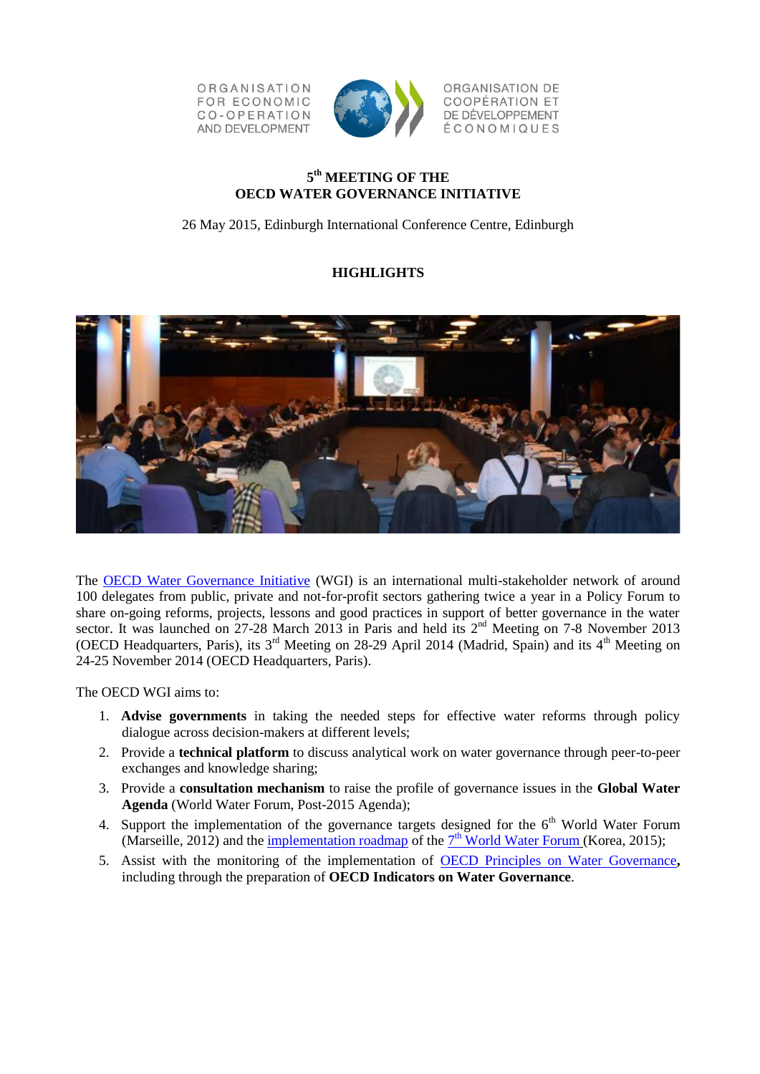ORGANISATION **FOR ECONOMIC** CO-OPERATION AND DEVELOPMENT



ORGANISATION DE **COOPÉRATION ET** DE DÉVELOPPEMENT ÉCONOMIQUES

# **5 th MEETING OF THE OECD WATER GOVERNANCE INITIATIVE**

26 May 2015, Edinburgh International Conference Centre, Edinburgh

# **HIGHLIGHTS**



The [OECD Water Governance Initiative](http://www.oecd.org/gov/regional-policy/water-governance-initiative.htm) (WGI) is an international multi-stakeholder network of around 100 delegates from public, private and not-for-profit sectors gathering twice a year in a Policy Forum to share on-going reforms, projects, lessons and good practices in support of better governance in the water sector. It was launched on 27-28 March 2013 in Paris and held its 2<sup>nd</sup> Meeting on 7-8 November 2013 (OECD Headquarters, Paris), its 3<sup>rd</sup> Meeting on 28-29 April 2014 (Madrid, Spain) and its 4<sup>th</sup> Meeting on 24-25 November 2014 (OECD Headquarters, Paris).

The OECD WGI aims to:

- 1. **Advise governments** in taking the needed steps for effective water reforms through policy dialogue across decision-makers at different levels;
- 2. Provide a **technical platform** to discuss analytical work on water governance through peer-to-peer exchanges and knowledge sharing;
- 3. Provide a **consultation mechanism** to raise the profile of governance issues in the **Global Water Agenda** (World Water Forum, Post-2015 Agenda);
- 4. Support the implementation of the governance targets designed for the  $6<sup>th</sup>$  World Water Forum (Marseille, 2012) and the *[implementation roadmap](http://ams.worldwaterforum7.org/progress.asp?s_theme_cd=010130)* of the  $7<sup>th</sup>$  [World Water Forum](http://eng.worldwaterforum7.org/main/) (Korea, 2015);
- 5. Assist with the monitoring of the implementation of [OECD Principles on Water Governance](http://www.oecd.org/gov/regional-policy/OECD-Principles-on-Water-Governance-brochure.pdf)**,**  including through the preparation of **OECD Indicators on Water Governance**.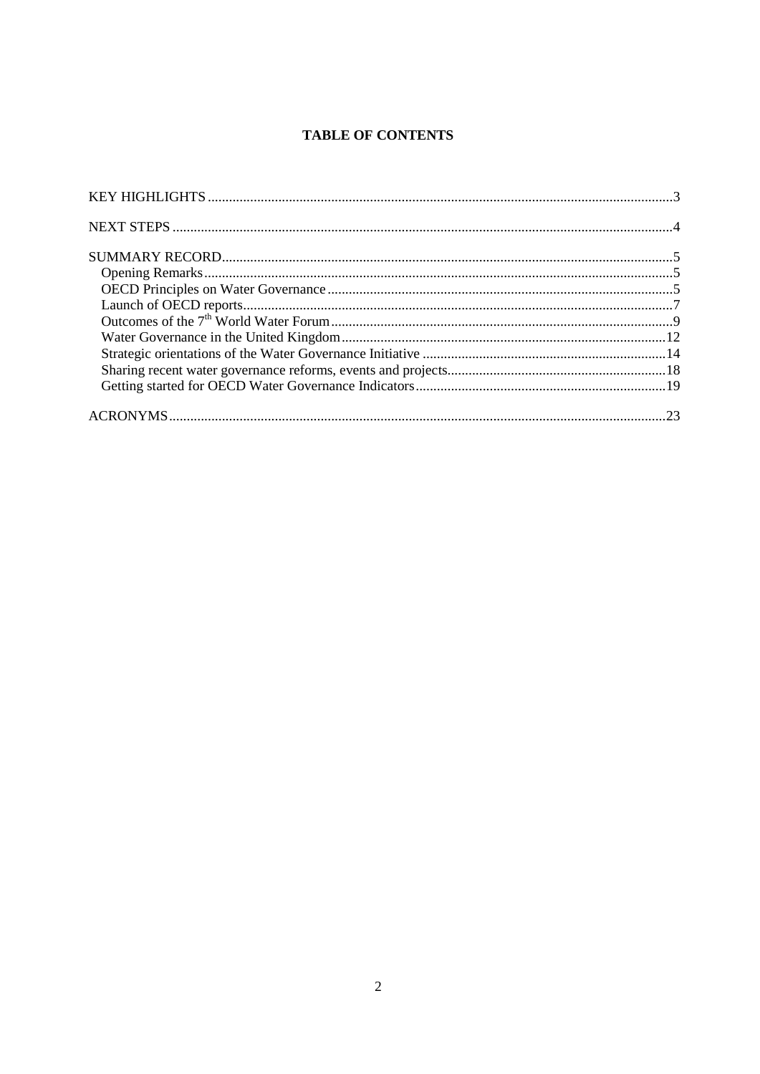# **TABLE OF CONTENTS**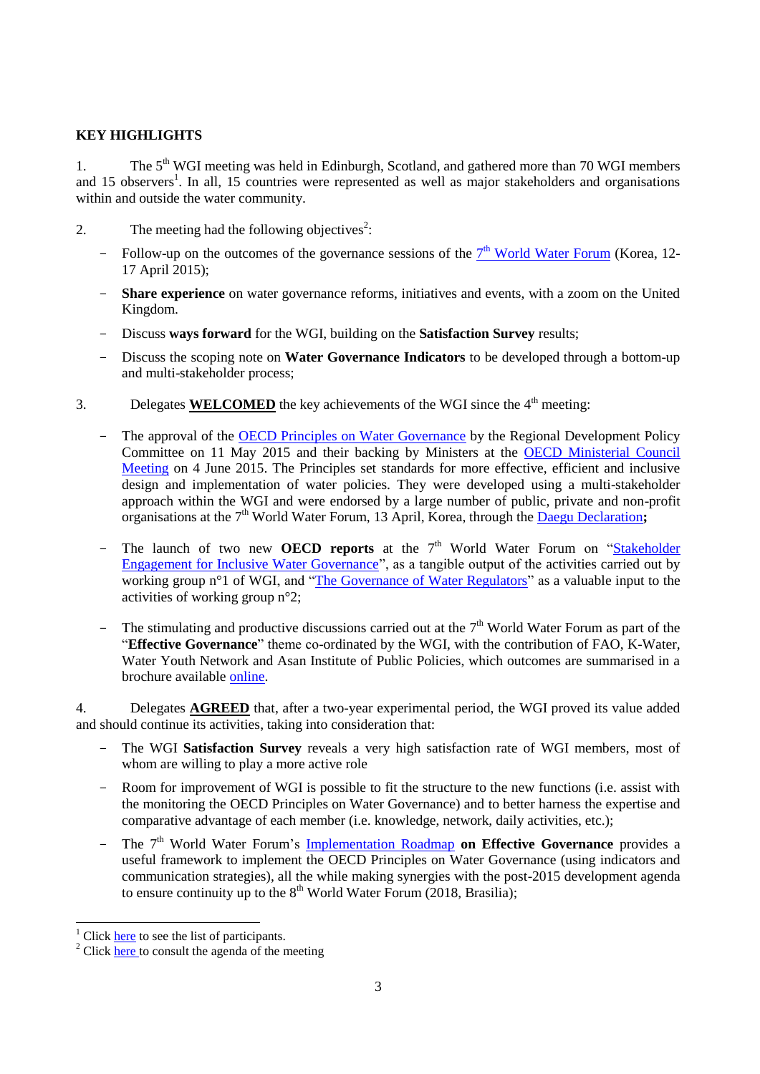# <span id="page-2-0"></span>**KEY HIGHLIGHTS**

1. The 5<sup>th</sup> WGI meeting was held in Edinburgh, Scotland, and gathered more than 70 WGI members and 15 observers<sup>1</sup>. In all, 15 countries were represented as well as major stakeholders and organisations within and outside the water community.

- 2. The meeting had the following objectives<sup>2</sup>:
	- Follow-up on the outcomes of the governance sessions of the  $7<sup>th</sup>$  [World Water Forum](http://eng.worldwaterforum7.org/main/) (Korea, 12-17 April 2015);
	- **Share experience** on water governance reforms, initiatives and events, with a zoom on the United Kingdom.
	- Discuss **ways forward** for the WGI, building on the **Satisfaction Survey** results;
	- Discuss the scoping note on **Water Governance Indicators** to be developed through a bottom-up and multi-stakeholder process;
- 3. Delegates **WELCOMED** the key achievements of the WGI since the  $4<sup>th</sup>$  meeting:
	- The approval of the [OECD Principles on Water Governance](http://www.oecd.org/gov/regional-policy/OECD-Principles-on-Water-Governance-brochure.pdf) by the Regional Development Policy Committee on 11 May 2015 and their backing by Ministers at the [OECD Ministerial Council](http://www.oecd.org/mcm/)  [Meeting](http://www.oecd.org/mcm/) on 4 June 2015. The Principles set standards for more effective, efficient and inclusive design and implementation of water policies. They were developed using a multi-stakeholder approach within the WGI and were endorsed by a large number of public, private and non-profit organisations at the 7<sup>th</sup> World Water Forum, 13 April, Korea, through the [Daegu Declaration](http://www.oecd.org/gov/regional-policy/Daegu-Multi-stakeholder-Declaration.pdf);
	- The launch of two new **OECD reports** at the 7<sup>th</sup> World Water Forum on "Stakeholder [Engagement for Inclusive Water Governance"](http://www.oecd.org/environment/stakeholder-engagement-for-inclusive-water-governance-9789264231122-en.htm), as a tangible output of the activities carried out by working group n<sup>o</sup>l of WGI, and ["The Governance of Water Regulators"](http://www.oecd.org/gov/the-governance-of-water-regulators-9789264231092-en.htm) as a valuable input to the activities of working group n°2;
	- The stimulating and productive discussions carried out at the  $7<sup>th</sup>$  World Water Forum as part of the "**Effective Governance**" theme co-ordinated by the WGI, with the contribution of FAO, K-Water, Water Youth Network and Asan Institute of Public Policies, which outcomes are summarised in a brochure available [online.](http://www.oecd.org/gov/regional-policy/Outcomes-governance-7thForum.pdf)

4. Delegates **AGREED** that, after a two-year experimental period, the WGI proved its value added and should continue its activities, taking into consideration that:

- The WGI **Satisfaction Survey** reveals a very high satisfaction rate of WGI members, most of whom are willing to play a more active role
- Room for improvement of WGI is possible to fit the structure to the new functions (i.e. assist with the monitoring the OECD Principles on Water Governance) and to better harness the expertise and comparative advantage of each member (i.e. knowledge, network, daily activities, etc.);
- The 7<sup>th</sup> World Water Forum's *[Implementation Roadmap](http://ams.worldwaterforum7.org/progress.asp?s_theme_cd=010130)* on *Effective Governance* provides a useful framework to implement the OECD Principles on Water Governance (using indicators and communication strategies), all the while making synergies with the post-2015 development agenda to ensure continuity up to the  $8<sup>th</sup>$  World Water Forum (2018, Brasilia);

<sup>&</sup>lt;sup>1</sup> Click [here](http://www.oecd.org/gov/regional-policy/Participants_5th_WGI.pdf) to see the list of participants.

 $\frac{1}{2}$  Click [here](http://www.oecd.org/regional/regional-policy/Agenda-5th-WGI-Meeting.pdf) to consult the agenda of the meeting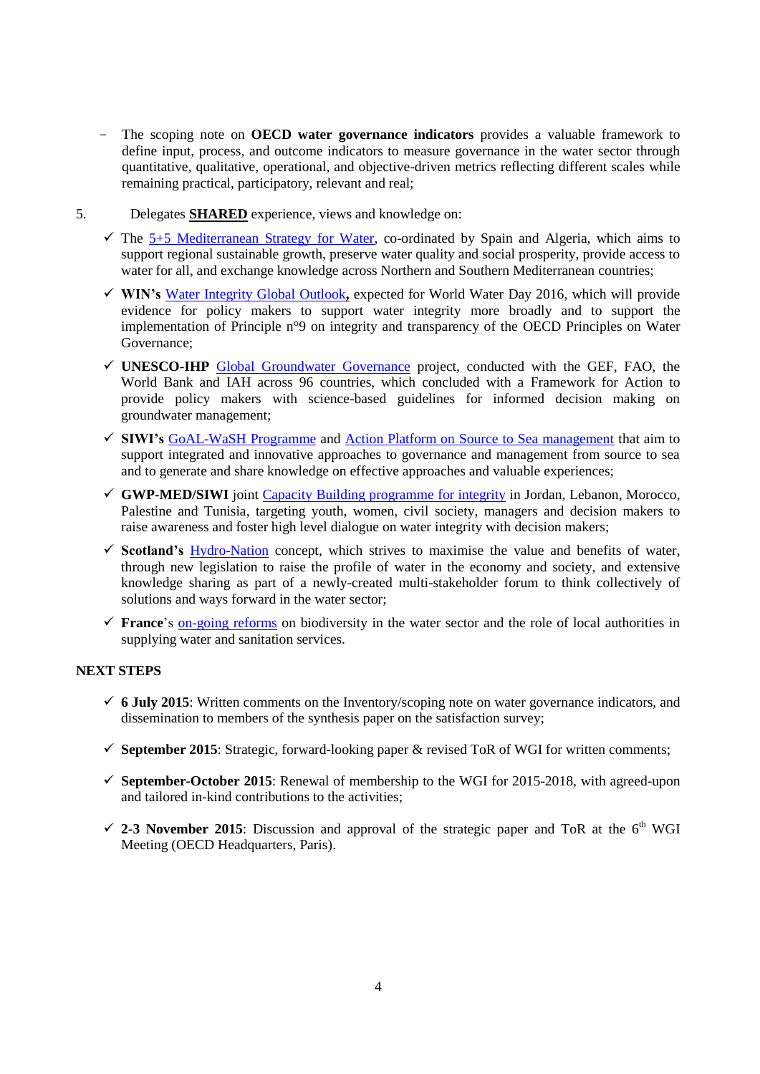- The scoping note on **OECD water governance indicators** provides a valuable framework to define input, process, and outcome indicators to measure governance in the water sector through quantitative, qualitative, operational, and objective-driven metrics reflecting different scales while remaining practical, participatory, relevant and real;
- 5. Delegates **SHARED** experience, views and knowledge on:
	- $\checkmark$  The [5+5 Mediterranean Strategy for Water,](http://www.emwis.org/initiatives/5et5) co-ordinated by Spain and Algeria, which aims to support regional sustainable growth, preserve water quality and social prosperity, provide access to water for all, and exchange knowledge across Northern and Southern Mediterranean countries;
	- **WIN's** [Water Integrity Global Outlook](https://waterintegritynet.files.wordpress.com/2014/10/waterintegrityoutlook2015_outline.pdf)**,** expected for World Water Day 2016, which will provide evidence for policy makers to support water integrity more broadly and to support the implementation of Principle n°9 on integrity and transparency of the OECD Principles on Water Governance;
	- **UNESCO-IHP** [Global Groundwater Governance](http://www.groundwatergovernance.org/) project, conducted with the GEF, FAO, the World Bank and IAH across 96 countries, which concluded with a Framework for Action to provide policy makers with science-based guidelines for informed decision making on groundwater management;
	- **SIWI's** [GoAL-WaSH Programme](http://www.undp.org/content/undp/en/home/ourwork/environmentandenergy/focus_areas/water_and_ocean_governance/water-supply-and-sanitation/goal-wash.html) and [Action Platform on Source to Sea management](http://programme.worldwaterweek.org/sites/default/files/birgitta_liss_lymer._upload_an_action_platform_on_source_to_sea_management_-_intro.pdf) that aim to support integrated and innovative approaches to governance and management from source to sea and to generate and share knowledge on effective approaches and valuable experiences;
	- **GWP-MED/SIWI** joint [Capacity Building programme for integrity](http://www.watergovernance.org/integrity/MENA) in Jordan, Lebanon, Morocco, Palestine and Tunisia, targeting youth, women, civil society, managers and decision makers to raise awareness and foster high level dialogue on water integrity with decision makers;
	- **Scotland's** [Hydro-Nation](http://www.gov.scot/Topics/Business-Industry/waterindustryscot/ScotlandtheHydroNation) concept, which strives to maximise the value and benefits of water, through new legislation to raise the profile of water in the economy and society, and extensive knowledge sharing as part of a newly-created multi-stakeholder forum to think collectively of solutions and ways forward in the water sector;
	- **France**'s [on-going reforms](http://www.gouvernement.fr/action/la-reforme-territoriale) on biodiversity in the water sector and the role of local authorities in supplying water and sanitation services.

# <span id="page-3-0"></span>**NEXT STEPS**

- $6$  July 2015: Written comments on the Inventory/scoping note on water governance indicators, and dissemination to members of the synthesis paper on the satisfaction survey;
- $\checkmark$  **September 2015**: Strategic, forward-looking paper & revised ToR of WGI for written comments;
- **September-October 2015**: Renewal of membership to the WGI for 2015-2018, with agreed-upon and tailored in-kind contributions to the activities;
- $\checkmark$  2-3 November 2015: Discussion and approval of the strategic paper and ToR at the 6<sup>th</sup> WGI Meeting (OECD Headquarters, Paris).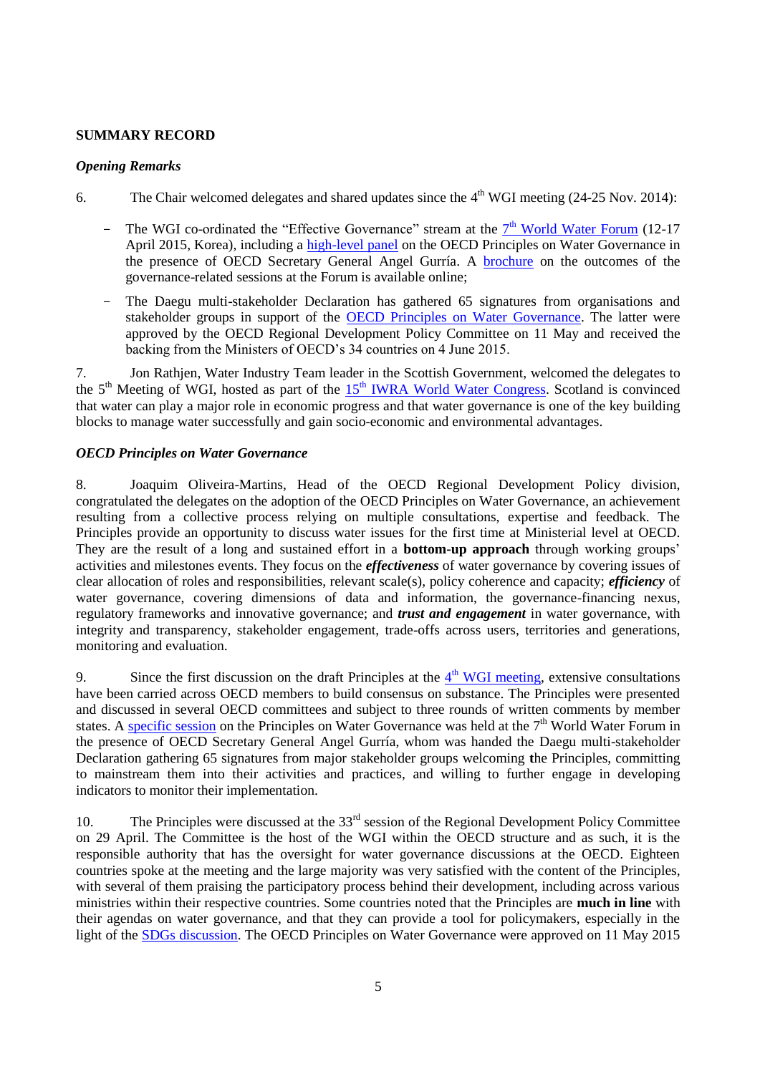## <span id="page-4-0"></span>**SUMMARY RECORD**

## <span id="page-4-1"></span>*Opening Remarks*

- 6. The Chair welcomed delegates and shared updates since the  $4<sup>th</sup>$  WGI meeting (24-25 Nov. 2014):
	- The WGI co-ordinated the "Effective Governance" stream at the  $7<sup>th</sup>$  [World Water Forum](http://eng.worldwaterforum7.org/main/) (12-17 April 2015, Korea), including a [high-level panel](http://www.oecd.org/gov/regional-policy/principles-on-water-governance-from-vision-to-action.htm) on the OECD Principles on Water Governance in the presence of OECD Secretary General Angel Gurría. A [brochure](http://www.oecd.org/gov/regional-policy/Outcomes-governance-7thForum.pdf) on the outcomes of the governance-related sessions at the Forum is available online;
	- The Daegu multi-stakeholder Declaration has gathered 65 signatures from organisations and stakeholder groups in support of the [OECD Principles on Water Governance.](http://www.oecd.org/gov/regional-policy/OECD-Principles-on-Water-Governance-brochure.pdf) The latter were approved by the OECD Regional Development Policy Committee on 11 May and received the backing from the Ministers of OECD's 34 countries on 4 June 2015.

7. Jon Rathjen, Water Industry Team leader in the Scottish Government, welcomed the delegates to the 5<sup>th</sup> Meeting of WGI, hosted as part of the 15<sup>th</sup> [IWRA World Water Congress.](http://worldwatercongress.com/) Scotland is convinced that water can play a major role in economic progress and that water governance is one of the key building blocks to manage water successfully and gain socio-economic and environmental advantages.

# <span id="page-4-2"></span>*OECD Principles on Water Governance*

8. Joaquim Oliveira-Martins, Head of the OECD Regional Development Policy division, congratulated the delegates on the adoption of the OECD Principles on Water Governance, an achievement resulting from a collective process relying on multiple consultations, expertise and feedback. The Principles provide an opportunity to discuss water issues for the first time at Ministerial level at OECD. They are the result of a long and sustained effort in a **bottom-up approach** through working groups' activities and milestones events. They focus on the *effectiveness* of water governance by covering issues of clear allocation of roles and responsibilities, relevant scale(s), policy coherence and capacity; *efficiency* of water governance, covering dimensions of data and information, the governance-financing nexus, regulatory frameworks and innovative governance; and *trust and engagement* in water governance, with integrity and transparency, stakeholder engagement, trade-offs across users, territories and generations, monitoring and evaluation.

9. Since the first discussion on the draft Principles at the  $4<sup>th</sup>$  [WGI meeting,](http://www.oecd.org/gov/regional-policy/OECD-WGI-4th-Meeting-Highlights.pdf) extensive consultations have been carried across OECD members to build consensus on substance. The Principles were presented and discussed in several OECD committees and subject to three rounds of written comments by member states. A [specific session](http://www.oecd.org/gov/regional-policy/principles-on-water-governance-from-vision-to-action.htm) on the Principles on Water Governance was held at the 7<sup>th</sup> World Water Forum in the presence of OECD Secretary General Angel Gurría, whom was handed the Daegu multi-stakeholder Declaration gathering 65 signatures from major stakeholder groups welcoming **t**he Principles, committing to mainstream them into their activities and practices, and willing to further engage in developing indicators to monitor their implementation.

10. The Principles were discussed at the 33<sup>rd</sup> session of the Regional Development Policy Committee on 29 April. The Committee is the host of the WGI within the OECD structure and as such, it is the responsible authority that has the oversight for water governance discussions at the OECD. Eighteen countries spoke at the meeting and the large majority was very satisfied with the content of the Principles, with several of them praising the participatory process behind their development, including across various ministries within their respective countries. Some countries noted that the Principles are **much in line** with their agendas on water governance, and that they can provide a tool for policymakers, especially in the light of the [SDGs discussion.](https://sustainabledevelopment.un.org/post2015) The OECD Principles on Water Governance were approved on 11 May 2015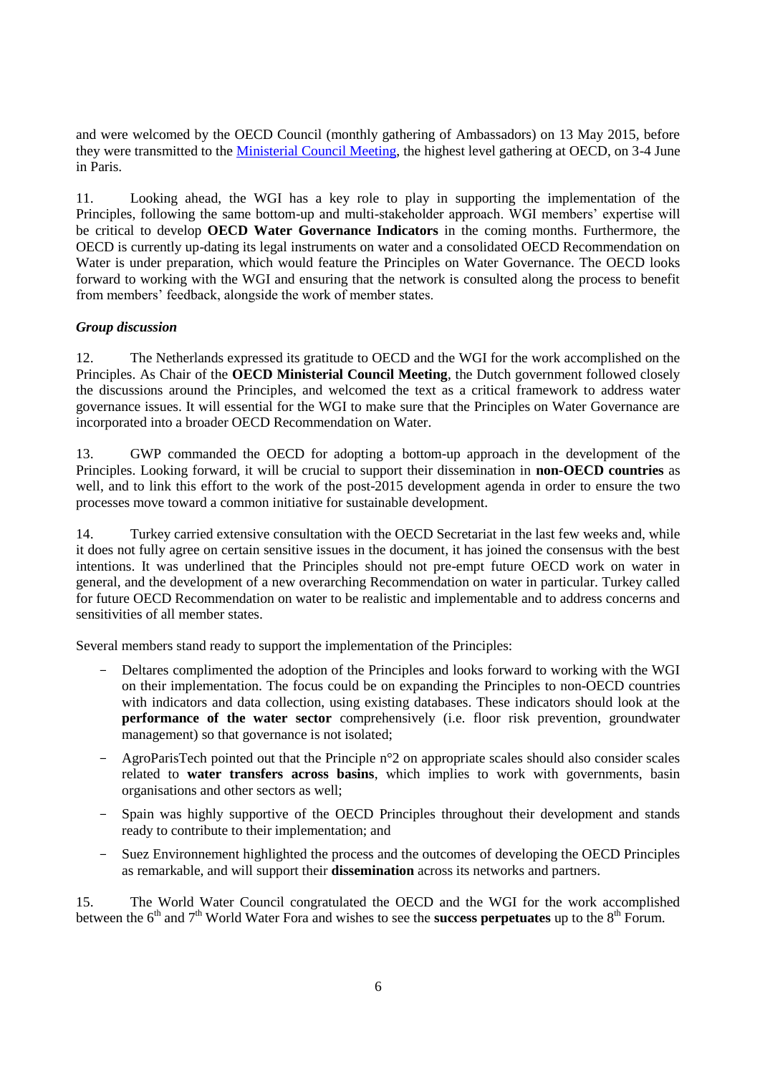and were welcomed by the OECD Council (monthly gathering of Ambassadors) on 13 May 2015, before they were transmitted to the [Ministerial Council Meeting,](http://www.oecd.org/mcm/) the highest level gathering at OECD, on 3-4 June in Paris.

11. Looking ahead, the WGI has a key role to play in supporting the implementation of the Principles, following the same bottom-up and multi-stakeholder approach. WGI members' expertise will be critical to develop **OECD Water Governance Indicators** in the coming months. Furthermore, the OECD is currently up-dating its legal instruments on water and a consolidated OECD Recommendation on Water is under preparation, which would feature the Principles on Water Governance. The OECD looks forward to working with the WGI and ensuring that the network is consulted along the process to benefit from members' feedback, alongside the work of member states.

### *Group discussion*

12. The Netherlands expressed its gratitude to OECD and the WGI for the work accomplished on the Principles. As Chair of the **OECD Ministerial Council Meeting**, the Dutch government followed closely the discussions around the Principles, and welcomed the text as a critical framework to address water governance issues. It will essential for the WGI to make sure that the Principles on Water Governance are incorporated into a broader OECD Recommendation on Water.

13. GWP commanded the OECD for adopting a bottom-up approach in the development of the Principles. Looking forward, it will be crucial to support their dissemination in **non-OECD countries** as well, and to link this effort to the work of the [post-2015 development agenda](https://sustainabledevelopment.un.org/post2015) in order to ensure the two processes move toward a common initiative for sustainable development.

14. Turkey carried extensive consultation with the OECD Secretariat in the last few weeks and, while it does not fully agree on certain sensitive issues in the document, it has joined the consensus with the best intentions. It was underlined that the Principles should not pre-empt future OECD work on water in general, and the development of a new overarching Recommendation on water in particular. Turkey called for future OECD Recommendation on water to be realistic and implementable and to address concerns and sensitivities of all member states.

Several members stand ready to support the implementation of the Principles:

- Deltares complimented the adoption of the Principles and looks forward to working with the WGI on their implementation. The focus could be on expanding the Principles to non-OECD countries with indicators and data collection, using existing databases. These indicators should look at the **performance of the water sector** comprehensively (i.e. floor risk prevention, groundwater management) so that governance is not isolated;
- AgroParisTech pointed out that the Principle n°2 on appropriate scales should also consider scales related to **water transfers across basins**, which implies to work with governments, basin organisations and other sectors as well;
- Spain was highly supportive of the OECD Principles throughout their development and stands ready to contribute to their implementation; and
- Suez Environnement highlighted the process and the outcomes of developing the OECD Principles as remarkable, and will support their **dissemination** across its networks and partners.

15. The World Water Council congratulated the OECD and the WGI for the work accomplished between the 6<sup>th</sup> and 7<sup>th</sup> World Water Fora and wishes to see the **success perpetuates** up to the 8<sup>th</sup> Forum.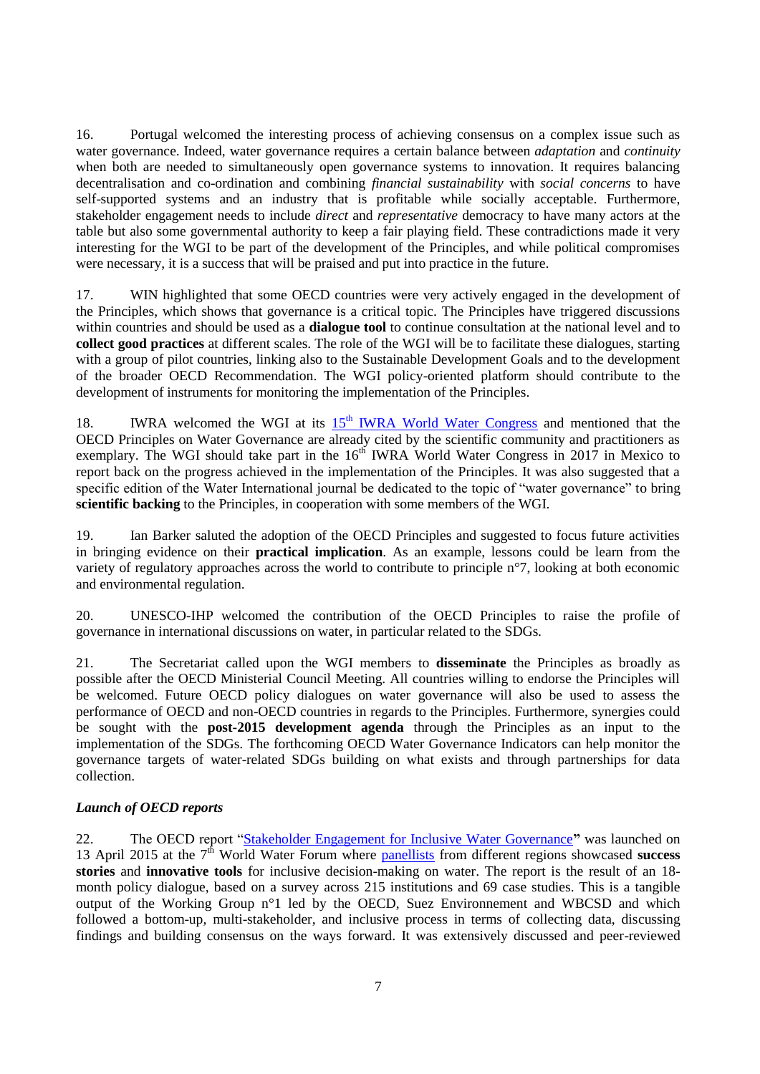16. Portugal welcomed the interesting process of achieving consensus on a complex issue such as water governance. Indeed, water governance requires a certain balance between *adaptation* and *continuity* when both are needed to simultaneously open governance systems to innovation. It requires balancing decentralisation and co-ordination and combining *financial sustainability* with *social concerns* to have self-supported systems and an industry that is profitable while socially acceptable. Furthermore, stakeholder engagement needs to include *direct* and *representative* democracy to have many actors at the table but also some governmental authority to keep a fair playing field. These contradictions made it very interesting for the WGI to be part of the development of the Principles, and while political compromises were necessary, it is a success that will be praised and put into practice in the future.

17. WIN highlighted that some OECD countries were very actively engaged in the development of the Principles, which shows that governance is a critical topic. The Principles have triggered discussions within countries and should be used as a **dialogue tool** to continue consultation at the national level and to **collect good practices** at different scales. The role of the WGI will be to facilitate these dialogues, starting with a group of pilot countries, linking also to the Sustainable Development Goals and to the development of the broader OECD Recommendation. The WGI policy-oriented platform should contribute to the development of instruments for monitoring the implementation of the Principles.

18. IWRA welcomed the WGI at its  $15<sup>th</sup> IWRA$  World Water Congress and mentioned that the OECD Principles on Water Governance are already cited by the scientific community and practitioners as exemplary. The WGI should take part in the  $16<sup>th</sup>$  IWRA World Water Congress in 2017 in Mexico to report back on the progress achieved in the implementation of the Principles. It was also suggested that a specific edition of the Water International journal be dedicated to the topic of "water governance" to bring **scientific backing** to the Principles, in cooperation with some members of the WGI.

19. Ian Barker saluted the adoption of the OECD Principles and suggested to focus future activities in bringing evidence on their **practical implication**. As an example, lessons could be learn from the variety of regulatory approaches across the world to contribute to principle n°7, looking at both economic and environmental regulation.

20. UNESCO-IHP welcomed the contribution of the OECD Principles to raise the profile of governance in international discussions on water, in particular related to the SDGs.

21. The Secretariat called upon the WGI members to **disseminate** the Principles as broadly as possible after the OECD Ministerial Council Meeting. All countries willing to endorse the Principles will be welcomed. Future OECD policy dialogues on water governance will also be used to assess the performance of OECD and non-OECD countries in regards to the Principles. Furthermore, synergies could be sought with the **post-2015 development agenda** through the Principles as an input to the implementation of the SDGs. The forthcoming OECD Water Governance Indicators can help monitor the governance targets of water-related SDGs building on what exists and through partnerships for data collection.

### <span id="page-6-0"></span>*Launch of OECD reports*

22. The OECD report ["Stakeholder Engagement for Inclusive Water Governance](http://www.oecd.org/environment/stakeholder-engagement-for-inclusive-water-governance-9789264231122-en.htm)**"** was launched on 13 April 2015 at the 7<sup>th</sup> World Water Forum where **panellists** from different regions showcased **success stories** and **innovative tools** for inclusive decision-making on water. The report is the result of an 18 month policy dialogue, based on a survey across 215 institutions and 69 case studies. This is a tangible output of the Working Group n°1 led by the OECD, Suez Environnement and WBCSD and which followed a bottom-up, multi-stakeholder, and inclusive process in terms of collecting data, discussing findings and building consensus on the ways forward. It was extensively discussed and peer-reviewed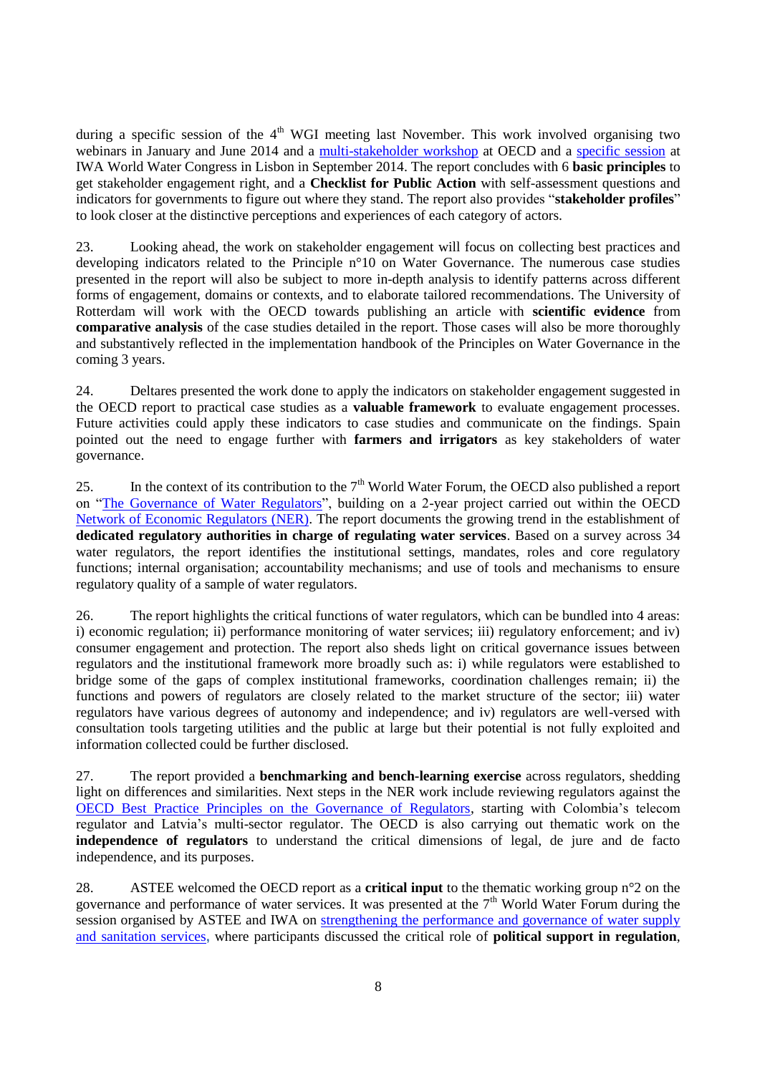during a specific session of the  $4<sup>th</sup>$  WGI meeting last November. This work involved organising two webinars in January and June 2014 and a [multi-stakeholder workshop](http://www.oecd.org/gov/regional-policy/Summary-OECD-workshop-19Sept2014.pdf) at OECD and a [specific session](http://www.oecd.org/gov/regional-policy/Summary-Lisbon-24Sept2014.pdf) at IWA World Water Congress in Lisbon in September 2014. The report concludes with 6 **basic principles** to get stakeholder engagement right, and a **Checklist for Public Action** with self-assessment questions and indicators for governments to figure out where they stand. The report also provides "**stakeholder profiles**" to look closer at the distinctive perceptions and experiences of each category of actors.

23. Looking ahead, the work on stakeholder engagement will focus on collecting best practices and developing indicators related to the Principle n°10 on Water Governance. The numerous case studies presented in the report will also be subject to more in-depth analysis to identify patterns across different forms of engagement, domains or contexts, and to elaborate tailored recommendations. The University of Rotterdam will work with the OECD towards publishing an article with **scientific evidence** from **comparative analysis** of the case studies detailed in the report. Those cases will also be more thoroughly and substantively reflected in the implementation handbook of the Principles on Water Governance in the coming 3 years.

24. Deltares presented the work done to apply the indicators on stakeholder engagement suggested in the OECD report to practical case studies as a **valuable framework** to evaluate engagement processes. Future activities could apply these indicators to case studies and communicate on the findings. Spain pointed out the need to engage further with **farmers and irrigators** as key stakeholders of water governance.

25. In the context of its contribution to the  $7<sup>th</sup>$  World Water Forum, the OECD also published a report on ["The Governance of Water Regulators"](http://www.oecd.org/gov/the-governance-of-water-regulators-9789264231092-en.htm), building on a 2-year project carried out within the OECD [Network of Economic Regulators](http://www.oecd.org/gov/regulatory-policy/ner.htm) (NER). The report documents the growing trend in the establishment of **dedicated regulatory authorities in charge of regulating water services**. Based on a survey across 34 water regulators, the report identifies the institutional settings, mandates, roles and core regulatory functions; internal organisation; accountability mechanisms; and use of tools and mechanisms to ensure regulatory quality of a sample of water regulators.

26. The report highlights the critical functions of water regulators, which can be bundled into 4 areas: i) economic regulation; ii) performance monitoring of water services; iii) regulatory enforcement; and iv) consumer engagement and protection. The report also sheds light on critical governance issues between regulators and the institutional framework more broadly such as: i) while regulators were established to bridge some of the gaps of complex institutional frameworks, coordination challenges remain; ii) the functions and powers of regulators are closely related to the market structure of the sector; iii) water regulators have various degrees of autonomy and independence; and iv) regulators are well-versed with consultation tools targeting utilities and the public at large but their potential is not fully exploited and information collected could be further disclosed.

27. The report provided a **benchmarking and bench-learning exercise** across regulators, shedding light on differences and similarities. Next steps in the NER work include reviewing regulators against the [OECD Best Practice Principles on the Governance of Regulators,](http://www.oecd.org/gov/regulatory-policy/governance-of-regulators.htm) starting with Colombia's telecom regulator and Latvia's multi-sector regulator. The OECD is also carrying out thematic work on the **independence of regulators** to understand the critical dimensions of legal, de jure and de facto independence, and its purposes.

28. ASTEE welcomed the OECD report as a **critical input** to the thematic working group n°2 on the governance and performance of water services. It was presented at the  $7<sup>th</sup>$  World Water Forum during the session organised by ASTEE and IWA on [strengthening the performance and governance of water supply](http://eng.worldwaterforum7.org/program/program.asp?program_seq=332)  [and sanitation services](http://eng.worldwaterforum7.org/program/program.asp?program_seq=332)**,** where participants discussed the critical role of **political support in regulation**,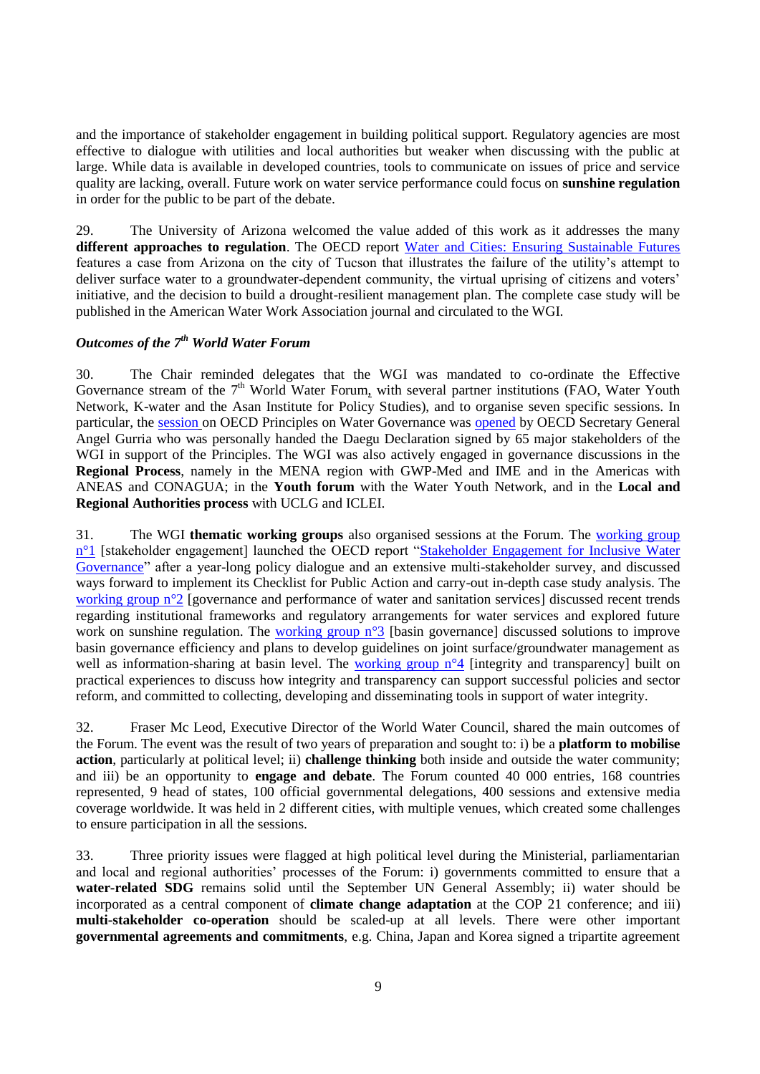and the importance of stakeholder engagement in building political support. Regulatory agencies are most effective to dialogue with utilities and local authorities but weaker when discussing with the public at large. While data is available in developed countries, tools to communicate on issues of price and service quality are lacking, overall. Future work on water service performance could focus on **sunshine regulation** in order for the public to be part of the debate.

29. The University of Arizona welcomed the value added of this work as it addresses the many **different approaches to regulation**. The OECD report [Water and Cities: Ensuring Sustainable Futures](http://www.oecd.org/fr/regional/water-and-cities-9789264230149-en.htm) features a case from Arizona on the city of Tucson that illustrates the failure of the utility's attempt to deliver surface water to a groundwater-dependent community, the virtual uprising of citizens and voters' initiative, and the decision to build a drought-resilient management plan. The complete case study will be published in the American Water Work Association journal and circulated to the WGI.

# <span id="page-8-0"></span>*Outcomes of the 7th World Water Forum*

30. The Chair reminded delegates that the WGI was mandated to co-ordinate the Effective Governance stream of the  $7<sup>th</sup>$  World Water Forum, with several partner institutions (FAO, Water Youth Network, K-water and the Asan Institute for Policy Studies), and to organise seven specific sessions. In particular, the [session](http://www.oecd.org/gov/regional-policy/principles-on-water-governance-from-vision-to-action.htm) on OECD Principles on Water Governance was [opened](http://www.oecd.org/governance/oecd-principles-on-water-governance-from-vision-to-action.htm) by OECD Secretary General Angel Gurria who was personally handed the Daegu Declaration signed by 65 major stakeholders of the WGI in support of the Principles. The WGI was also actively engaged in governance discussions in the **Regional Process**, namely in the MENA region with GWP-Med and IME and in the Americas with ANEAS and CONAGUA; in the **Youth forum** with the Water Youth Network, and in the **Local and Regional Authorities process** with UCLG and ICLEI.

31. The WGI **thematic working groups** also organised sessions at the Forum. The [working group](http://eng.worldwaterforum7.org/program/program.asp?program_seq=329)  n<sup>o</sup>1 [stakeholder engagement] launched the OECD report "Stakeholder Engagement for Inclusive Water [Governance"](http://www.oecd.org/environment/stakeholder-engagement-for-inclusive-water-governance-9789264231122-en.htm) after a year-long policy dialogue and an extensive multi-stakeholder survey, and discussed ways forward to implement its Checklist for Public Action and carry-out in-depth case study analysis. The [working group n°2](http://eng.worldwaterforum7.org/program/program.asp?program_seq=332) [governance and performance of water and sanitation services] discussed recent trends regarding institutional frameworks and regulatory arrangements for water services and explored future work on sunshine regulation. The [working group n°3](http://eng.worldwaterforum7.org/program/program.asp?program_seq=335) [basin governance] discussed solutions to improve basin governance efficiency and plans to develop guidelines on joint surface/groundwater management as well as information-sharing at basin level. The working group  $n^{\circ}4$  [integrity and transparency] built on practical experiences to discuss how integrity and transparency can support successful policies and sector reform, and committed to collecting, developing and disseminating tools in support of water integrity.

32. Fraser Mc Leod, Executive Director of the World Water Council, shared the main outcomes of the Forum. The event was the result of two years of preparation and sought to: i) be a **platform to mobilise action**, particularly at political level; ii) **challenge thinking** both inside and outside the water community; and iii) be an opportunity to **engage and debate**. The Forum counted 40 000 entries, 168 countries represented, 9 head of states, 100 official governmental delegations, 400 sessions and extensive media coverage worldwide. It was held in 2 different cities, with multiple venues, which created some challenges to ensure participation in all the sessions.

33. Three priority issues were flagged at high political level during the Ministerial, parliamentarian and local and regional authorities' processes of the Forum: i) governments committed to ensure that a **water-related SDG** remains solid until the September UN General Assembly; ii) water should be incorporated as a central component of **climate change adaptation** at the COP 21 conference; and iii) **multi-stakeholder co-operation** should be scaled-up at all levels. There were other important **governmental agreements and commitments**, e.g. China, Japan and Korea signed a tripartite agreement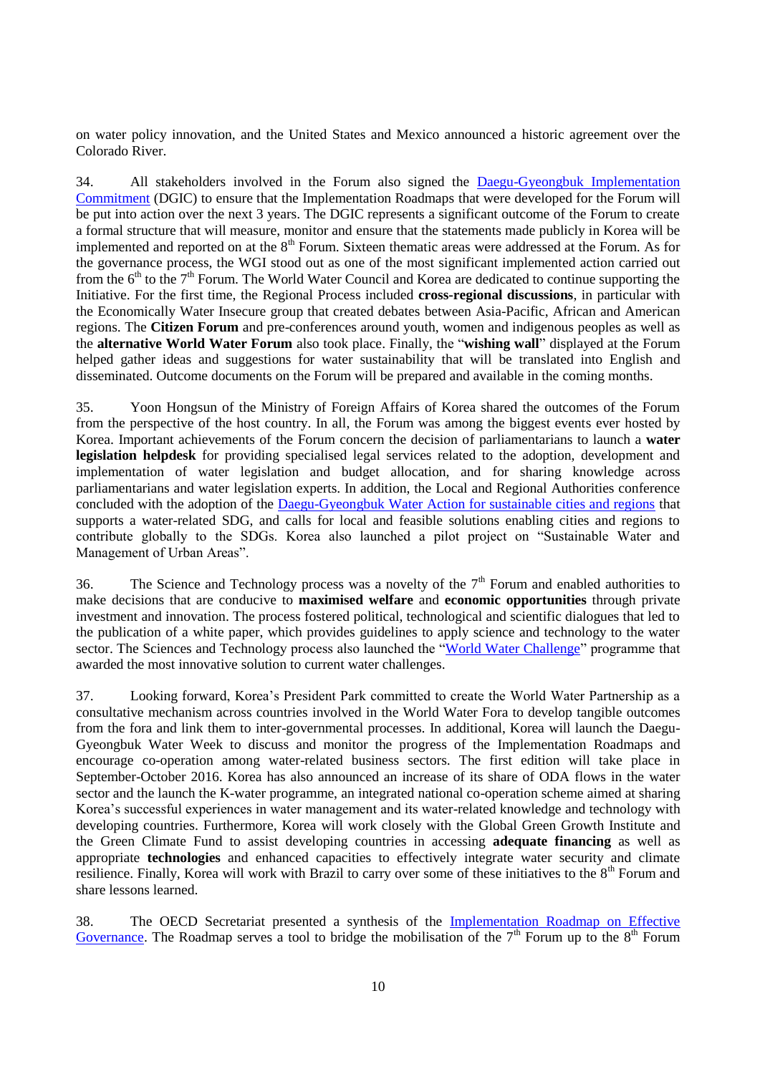on water policy innovation, and the United States and Mexico announced a historic agreement over the Colorado River.

34. All stakeholders involved in the Forum also signed the [Daegu-Gyeongbuk Implementation](http://www.oecd.org/gov/regional-policy/DGIC-7WWF.pdf)  [Commitment](http://www.oecd.org/gov/regional-policy/DGIC-7WWF.pdf) (DGIC) to ensure that the Implementation Roadmaps that were developed for the Forum will be put into action over the next 3 years. The DGIC represents a significant outcome of the Forum to create a formal structure that will measure, monitor and ensure that the statements made publicly in Korea will be implemented and reported on at the 8<sup>th</sup> Forum. Sixteen thematic areas were addressed at the Forum. As for the governance process, the WGI stood out as one of the most significant implemented action carried out from the  $6<sup>th</sup>$  to the  $7<sup>th</sup>$  Forum. The World Water Council and Korea are dedicated to continue supporting the Initiative. For the first time, the Regional Process included **cross-regional discussions**, in particular with the Economically Water Insecure group that created debates between Asia-Pacific, African and American regions. The **Citizen Forum** and pre-conferences around youth, women and indigenous peoples as well as the **alternative World Water Forum** also took place. Finally, the "**wishing wall**" displayed at the Forum helped gather ideas and suggestions for water sustainability that will be translated into English and disseminated. Outcome documents on the Forum will be prepared and available in the coming months.

35. Yoon Hongsun of the Ministry of Foreign Affairs of Korea shared the outcomes of the Forum from the perspective of the host country. In all, the Forum was among the biggest events ever hosted by Korea. Important achievements of the Forum concern the decision of parliamentarians to launch a **water legislation helpdesk** for providing specialised legal services related to the adoption, development and implementation of water legislation and budget allocation, and for sharing knowledge across parliamentarians and water legislation experts. In addition, the Local and Regional Authorities conference concluded with the adoption of the [Daegu-Gyeongbuk Water Action for sustainable cities and regions](http://www.uclg.org/sites/default/files/lras_dg_water_action_for_sustainable_cities_and_regions_april2015.pdf) that supports a water-related SDG, and calls for local and feasible solutions enabling cities and regions to contribute globally to the SDGs. Korea also launched a pilot project on "Sustainable Water and Management of Urban Areas".

36. The Science and Technology process was a novelty of the  $7<sup>th</sup>$  Forum and enabled authorities to make decisions that are conducive to **maximised welfare** and **economic opportunities** through private investment and innovation. The process fostered political, technological and scientific dialogues that led to the publication of a white paper, which provides guidelines to apply science and technology to the water sector. The Sciences and Technology process also launched the ["World Water Challenge"](http://eng.worldwaterforum7.org/forum/challenge/) programme that awarded the most innovative solution to current water challenges.

37. Looking forward, Korea's President Park committed to create the World Water Partnership as a consultative mechanism across countries involved in the World Water Fora to develop tangible outcomes from the fora and link them to inter-governmental processes. In additional, Korea will launch the Daegu-Gyeongbuk Water Week to discuss and monitor the progress of the Implementation Roadmaps and encourage co-operation among water-related business sectors. The first edition will take place in September-October 2016. Korea has also announced an increase of its share of ODA flows in the water sector and the launch the K-water programme, an integrated national co-operation scheme aimed at sharing Korea's successful experiences in water management and its water-related knowledge and technology with developing countries. Furthermore, Korea will work closely with the Global Green Growth Institute and the Green Climate Fund to assist developing countries in accessing **adequate financing** as well as appropriate **technologies** and enhanced capacities to effectively integrate water security and climate resilience. Finally, Korea will work with Brazil to carry over some of these initiatives to the 8<sup>th</sup> Forum and share lessons learned.

38. The OECD Secretariat presented a synthesis of the [Implementation Roadmap on Effective](http://ams.worldwaterforum7.org/progress.asp?s_theme_cd=010130)  [Governance.](http://ams.worldwaterforum7.org/progress.asp?s_theme_cd=010130) The Roadmap serves a tool to bridge the mobilisation of the  $7<sup>th</sup>$  Forum up to the  $8<sup>th</sup>$  Forum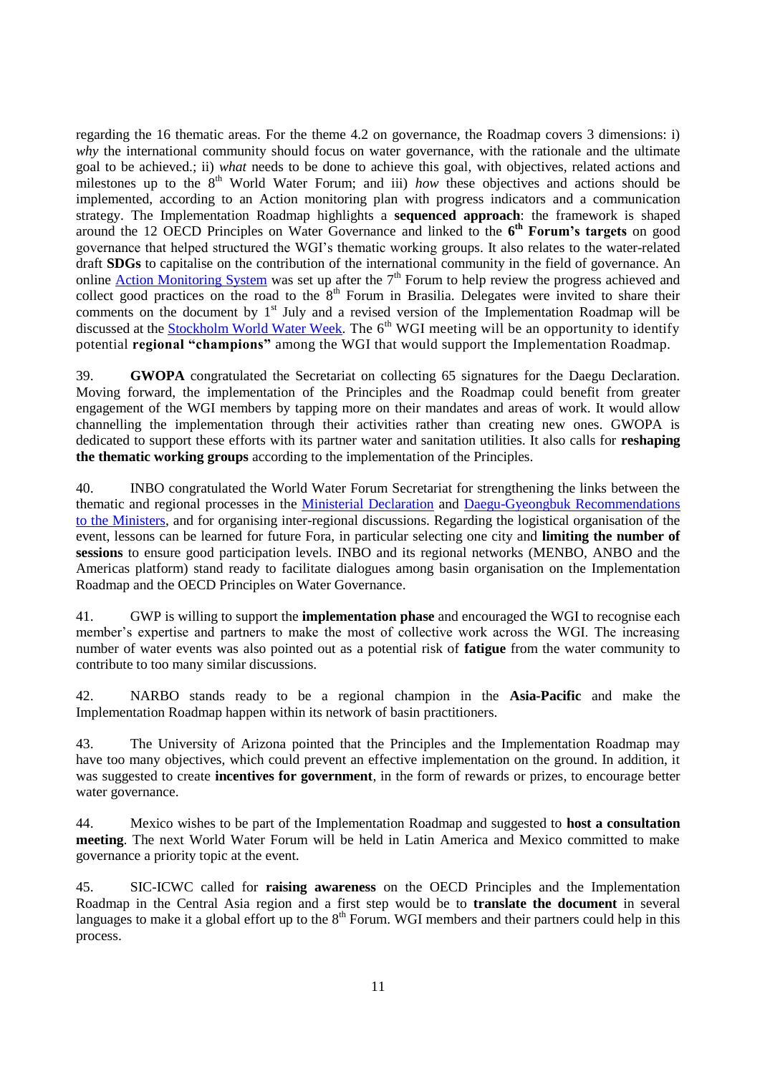regarding the 16 thematic areas. For the theme 4.2 on governance, the Roadmap covers 3 dimensions: i) *why* the international community should focus on water governance, with the rationale and the ultimate goal to be achieved.; ii) *what* needs to be done to achieve this goal, with objectives, related actions and milestones up to the 8<sup>th</sup> World Water Forum; and iii) *how* these objectives and actions should be implemented, according to an Action monitoring plan with progress indicators and a communication strategy. The Implementation Roadmap highlights a **sequenced approach**: the framework is shaped around the 12 OECD Principles on Water Governance and linked to the **6 th Forum's targets** on good governance that helped structured the WGI's thematic working groups. It also relates to the water-related draft **SDGs** to capitalise on the contribution of the international community in the field of governance. An online **Action Monitoring System** was set up after the  $7<sup>th</sup>$  Forum to help review the progress achieved and collect good practices on the road to the  $8<sup>th</sup>$  Forum in Brasilia. Delegates were invited to share their comments on the document by 1<sup>st</sup> July and a revised version of the Implementation Roadmap will be discussed at the **Stockholm World Water Week**. The 6<sup>th</sup> WGI meeting will be an opportunity to identify potential **regional "champions"** among the WGI that would support the Implementation Roadmap.

39. **GWOPA** congratulated the Secretariat on collecting 65 signatures for the Daegu Declaration. Moving forward, the implementation of the Principles and the Roadmap could benefit from greater engagement of the WGI members by tapping more on their mandates and areas of work. It would allow channelling the implementation through their activities rather than creating new ones. GWOPA is dedicated to support these efforts with its partner water and sanitation utilities. It also calls for **reshaping the thematic working groups** according to the implementation of the Principles.

40. INBO congratulated the World Water Forum Secretariat for strengthening the links between the thematic and regional processes in the [Ministerial Declaration](http://www.oecd.org/gov/regional-policy/Ministerial-Declaration-7WWF.pdf) and [Daegu-Gyeongbuk Recommendations](http://www.oecd.org/gov/regional-policy/Daegu-Gyeongbuk-Recommendations-7WWF.pdf)  [to the Ministers,](http://www.oecd.org/gov/regional-policy/Daegu-Gyeongbuk-Recommendations-7WWF.pdf) and for organising inter-regional discussions. Regarding the logistical organisation of the event, lessons can be learned for future Fora, in particular selecting one city and **limiting the number of sessions** to ensure good participation levels. INBO and its regional networks (MENBO, ANBO and the Americas platform) stand ready to facilitate dialogues among basin organisation on the Implementation Roadmap and the OECD Principles on Water Governance.

41. GWP is willing to support the **implementation phase** and encouraged the WGI to recognise each member's expertise and partners to make the most of collective work across the WGI. The increasing number of water events was also pointed out as a potential risk of **fatigue** from the water community to contribute to too many similar discussions.

42. NARBO stands ready to be a regional champion in the **Asia-Pacific** and make the Implementation Roadmap happen within its network of basin practitioners.

43. The University of Arizona pointed that the Principles and the Implementation Roadmap may have too many objectives, which could prevent an effective implementation on the ground. In addition, it was suggested to create **incentives for government**, in the form of rewards or prizes, to encourage better water governance.

44. Mexico wishes to be part of the Implementation Roadmap and suggested to **host a consultation meeting**. The next World Water Forum will be held in Latin America and Mexico committed to make governance a priority topic at the event.

45. SIC-ICWC called for **raising awareness** on the OECD Principles and the Implementation Roadmap in the Central Asia region and a first step would be to **translate the document** in several languages to make it a global effort up to the  $8<sup>th</sup>$  Forum. WGI members and their partners could help in this process.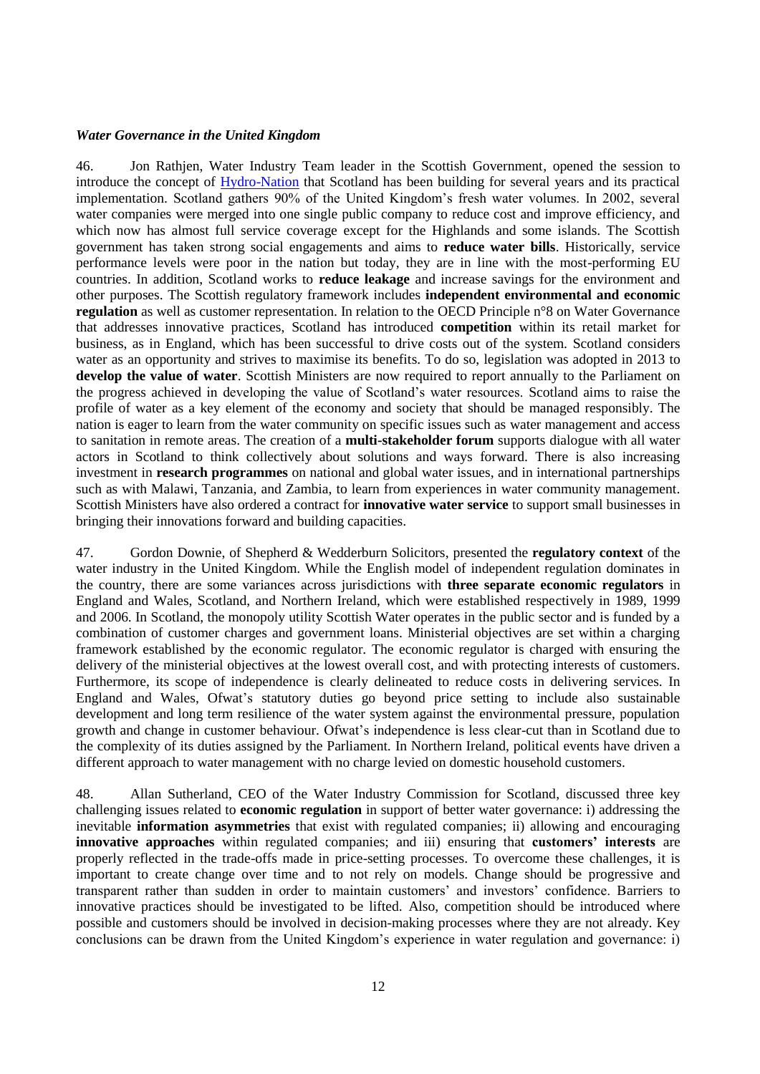#### <span id="page-11-0"></span>*Water Governance in the United Kingdom*

46. Jon Rathjen, Water Industry Team leader in the Scottish Government, opened the session to introduce the concept of [Hydro-Nation](http://www.gov.scot/Topics/Business-Industry/waterindustryscot/ScotlandtheHydroNation) that Scotland has been building for several years and its practical implementation. Scotland gathers 90% of the United Kingdom's fresh water volumes. In 2002, several water companies were merged into one single public company to reduce cost and improve efficiency, and which now has almost full service coverage except for the Highlands and some islands. The Scottish government has taken strong social engagements and aims to **reduce water bills**. Historically, service performance levels were poor in the nation but today, they are in line with the most-performing EU countries. In addition, Scotland works to **reduce leakage** and increase savings for the environment and other purposes. The Scottish regulatory framework includes **independent environmental and economic regulation** as well as customer representation. In relation to the OECD Principle n°8 on Water Governance that addresses innovative practices, Scotland has introduced **competition** within its retail market for business, as in England, which has been successful to drive costs out of the system. Scotland considers water as an opportunity and strives to maximise its benefits. To do so, legislation was adopted in 2013 to **develop the value of water**. Scottish Ministers are now required to report annually to the Parliament on the progress achieved in developing the value of Scotland's water resources. Scotland aims to raise the profile of water as a key element of the economy and society that should be managed responsibly. The nation is eager to learn from the water community on specific issues such as water management and access to sanitation in remote areas. The creation of a **multi-stakeholder forum** supports dialogue with all water actors in Scotland to think collectively about solutions and ways forward. There is also increasing investment in **research programmes** on national and global water issues, and in international partnerships such as with Malawi, Tanzania, and Zambia, to learn from experiences in water community management. Scottish Ministers have also ordered a contract for **innovative water service** to support small businesses in bringing their innovations forward and building capacities.

47. Gordon Downie, of Shepherd & Wedderburn Solicitors, presented the **regulatory context** of the water industry in the United Kingdom. While the English model of independent regulation dominates in the country, there are some variances across jurisdictions with **three separate economic regulators** in England and Wales, Scotland, and Northern Ireland, which were established respectively in 1989, 1999 and 2006. In Scotland, the monopoly utility Scottish Water operates in the public sector and is funded by a combination of customer charges and government loans. Ministerial objectives are set within a charging framework established by the economic regulator. The economic regulator is charged with ensuring the delivery of the ministerial objectives at the lowest overall cost, and with protecting interests of customers. Furthermore, its scope of independence is clearly delineated to reduce costs in delivering services. In England and Wales, Ofwat's statutory duties go beyond price setting to include also sustainable development and long term resilience of the water system against the environmental pressure, population growth and change in customer behaviour. Ofwat's independence is less clear-cut than in Scotland due to the complexity of its duties assigned by the Parliament. In Northern Ireland, political events have driven a different approach to water management with no charge levied on domestic household customers.

48. Allan Sutherland, CEO of the Water Industry Commission for Scotland, discussed three key challenging issues related to **economic regulation** in support of better water governance: i) addressing the inevitable **information asymmetries** that exist with regulated companies; ii) allowing and encouraging **innovative approaches** within regulated companies; and iii) ensuring that **customers' interests** are properly reflected in the trade-offs made in price-setting processes. To overcome these challenges, it is important to create change over time and to not rely on models. Change should be progressive and transparent rather than sudden in order to maintain customers' and investors' confidence. Barriers to innovative practices should be investigated to be lifted. Also, competition should be introduced where possible and customers should be involved in decision-making processes where they are not already. Key conclusions can be drawn from the United Kingdom's experience in water regulation and governance: i)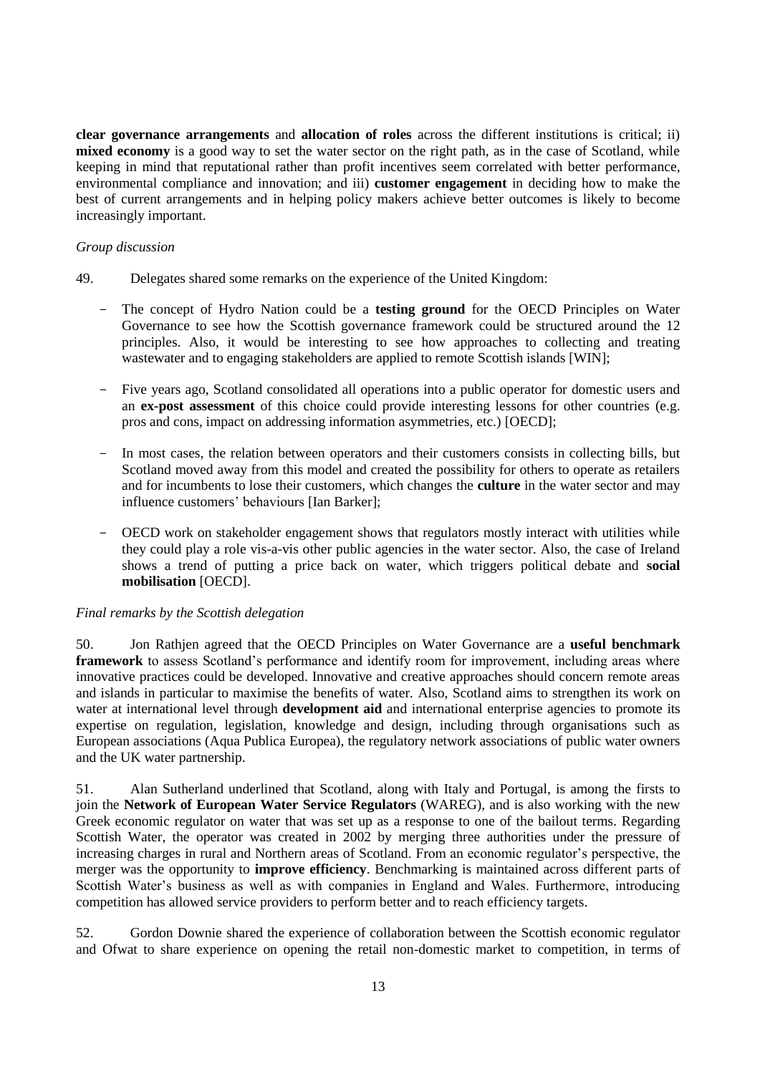**clear governance arrangements** and **allocation of roles** across the different institutions is critical; ii) **mixed economy** is a good way to set the water sector on the right path, as in the case of Scotland, while keeping in mind that reputational rather than profit incentives seem correlated with better performance, environmental compliance and innovation; and iii) **customer engagement** in deciding how to make the best of current arrangements and in helping policy makers achieve better outcomes is likely to become increasingly important.

### *Group discussion*

- 49. Delegates shared some remarks on the experience of the United Kingdom:
	- The concept of Hydro Nation could be a **testing ground** for the OECD Principles on Water Governance to see how the Scottish governance framework could be structured around the 12 principles. Also, it would be interesting to see how approaches to collecting and treating wastewater and to engaging stakeholders are applied to remote Scottish islands [WIN];
	- Five years ago, Scotland consolidated all operations into a public operator for domestic users and an **ex-post assessment** of this choice could provide interesting lessons for other countries (e.g. pros and cons, impact on addressing information asymmetries, etc.) [OECD];
	- In most cases, the relation between operators and their customers consists in collecting bills, but Scotland moved away from this model and created the possibility for others to operate as retailers and for incumbents to lose their customers, which changes the **culture** in the water sector and may influence customers' behaviours [Ian Barker];
	- OECD work on stakeholder engagement shows that regulators mostly interact with utilities while they could play a role vis-a-vis other public agencies in the water sector. Also, the case of Ireland shows a trend of putting a price back on water, which triggers political debate and **social mobilisation** [OECD].

#### *Final remarks by the Scottish delegation*

50. Jon Rathjen agreed that the OECD Principles on Water Governance are a **useful benchmark framework** to assess Scotland's performance and identify room for improvement, including areas where innovative practices could be developed. Innovative and creative approaches should concern remote areas and islands in particular to maximise the benefits of water. Also, Scotland aims to strengthen its work on water at international level through **development aid** and international enterprise agencies to promote its expertise on regulation, legislation, knowledge and design, including through organisations such as European associations (Aqua Publica Europea), the regulatory network associations of public water owners and the UK water partnership.

51. Alan Sutherland underlined that Scotland, along with Italy and Portugal, is among the firsts to join the **Network of European Water Service Regulators** (WAREG), and is also working with the new Greek economic regulator on water that was set up as a response to one of the bailout terms. Regarding Scottish Water, the operator was created in 2002 by merging three authorities under the pressure of increasing charges in rural and Northern areas of Scotland. From an economic regulator's perspective, the merger was the opportunity to **improve efficiency**. Benchmarking is maintained across different parts of Scottish Water's business as well as with companies in England and Wales. Furthermore, introducing competition has allowed service providers to perform better and to reach efficiency targets.

52. Gordon Downie shared the experience of collaboration between the Scottish economic regulator and Ofwat to share experience on opening the retail non-domestic market to competition, in terms of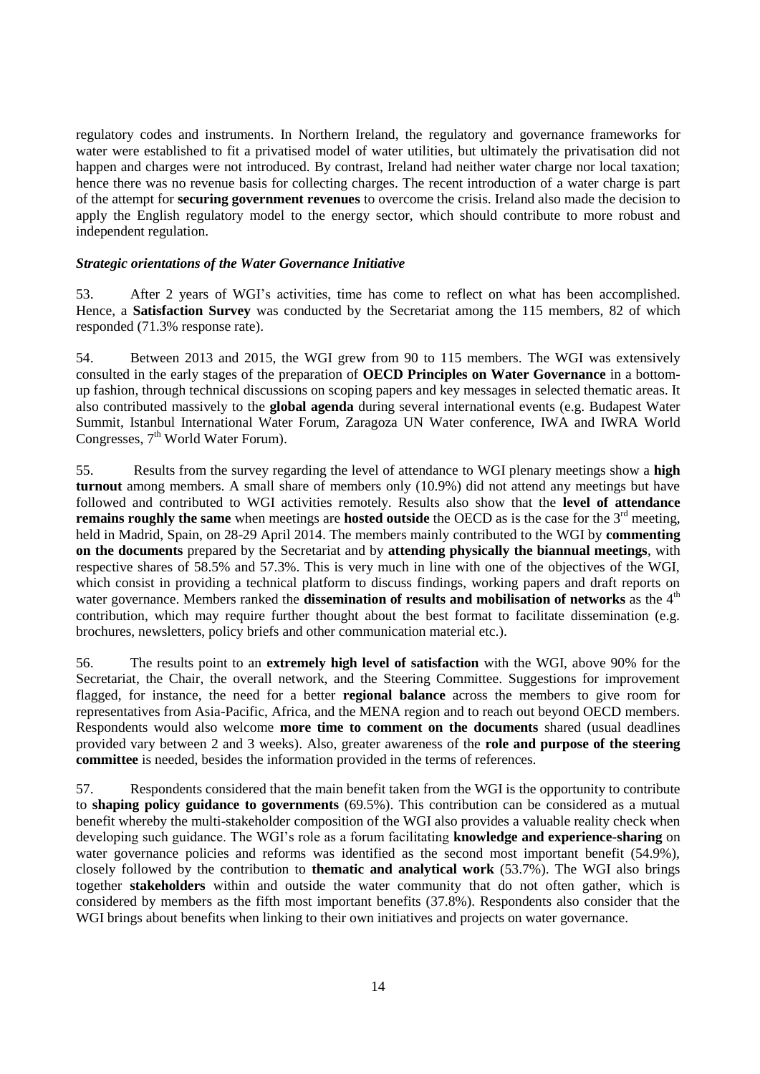regulatory codes and instruments. In Northern Ireland, the regulatory and governance frameworks for water were established to fit a privatised model of water utilities, but ultimately the privatisation did not happen and charges were not introduced. By contrast, Ireland had neither water charge nor local taxation; hence there was no revenue basis for collecting charges. The recent introduction of a water charge is part of the attempt for **securing government revenues** to overcome the crisis. Ireland also made the decision to apply the English regulatory model to the energy sector, which should contribute to more robust and independent regulation.

#### <span id="page-13-0"></span>*Strategic orientations of the Water Governance Initiative*

53. After 2 years of WGI's activities, time has come to reflect on what has been accomplished. Hence, a **Satisfaction Survey** was conducted by the Secretariat among the 115 members, 82 of which responded (71.3% response rate).

54. Between 2013 and 2015, the WGI grew from 90 to 115 members. The WGI was extensively consulted in the early stages of the preparation of **OECD Principles on Water Governance** in a bottomup fashion, through technical discussions on scoping papers and key messages in selected thematic areas. It also contributed massively to the **global agenda** during several international events (e.g. Budapest Water Summit, Istanbul International Water Forum, Zaragoza UN Water conference, IWA and IWRA World Congresses, 7<sup>th</sup> World Water Forum).

55. Results from the survey regarding the level of attendance to WGI plenary meetings show a **high turnout** among members. A small share of members only (10.9%) did not attend any meetings but have followed and contributed to WGI activities remotely. Results also show that the **level of attendance remains roughly the same** when meetings are **hosted outside** the OECD as is the case for the 3<sup>rd</sup> meeting, held in Madrid, Spain, on 28-29 April 2014. The members mainly contributed to the WGI by **commenting on the documents** prepared by the Secretariat and by **attending physically the biannual meetings**, with respective shares of 58.5% and 57.3%. This is very much in line with one of the objectives of the WGI, which consist in providing a technical platform to discuss findings, working papers and draft reports on water governance. Members ranked the **dissemination of results and mobilisation of networks** as the 4<sup>th</sup> contribution, which may require further thought about the best format to facilitate dissemination (e.g. brochures, newsletters, policy briefs and other communication material etc.).

56. The results point to an **extremely high level of satisfaction** with the WGI, above 90% for the Secretariat, the Chair, the overall network, and the Steering Committee. Suggestions for improvement flagged, for instance, the need for a better **regional balance** across the members to give room for representatives from Asia-Pacific, Africa, and the MENA region and to reach out beyond OECD members. Respondents would also welcome **more time to comment on the documents** shared (usual deadlines provided vary between 2 and 3 weeks). Also, greater awareness of the **role and purpose of the steering committee** is needed, besides the information provided in the terms of references.

57. Respondents considered that the main benefit taken from the WGI is the opportunity to contribute to **shaping policy guidance to governments** (69.5%). This contribution can be considered as a mutual benefit whereby the multi-stakeholder composition of the WGI also provides a valuable reality check when developing such guidance. The WGI's role as a forum facilitating **knowledge and experience-sharing** on water governance policies and reforms was identified as the second most important benefit (54.9%), closely followed by the contribution to **thematic and analytical work** (53.7%). The WGI also brings together **stakeholders** within and outside the water community that do not often gather, which is considered by members as the fifth most important benefits (37.8%). Respondents also consider that the WGI brings about benefits when linking to their own initiatives and projects on water governance.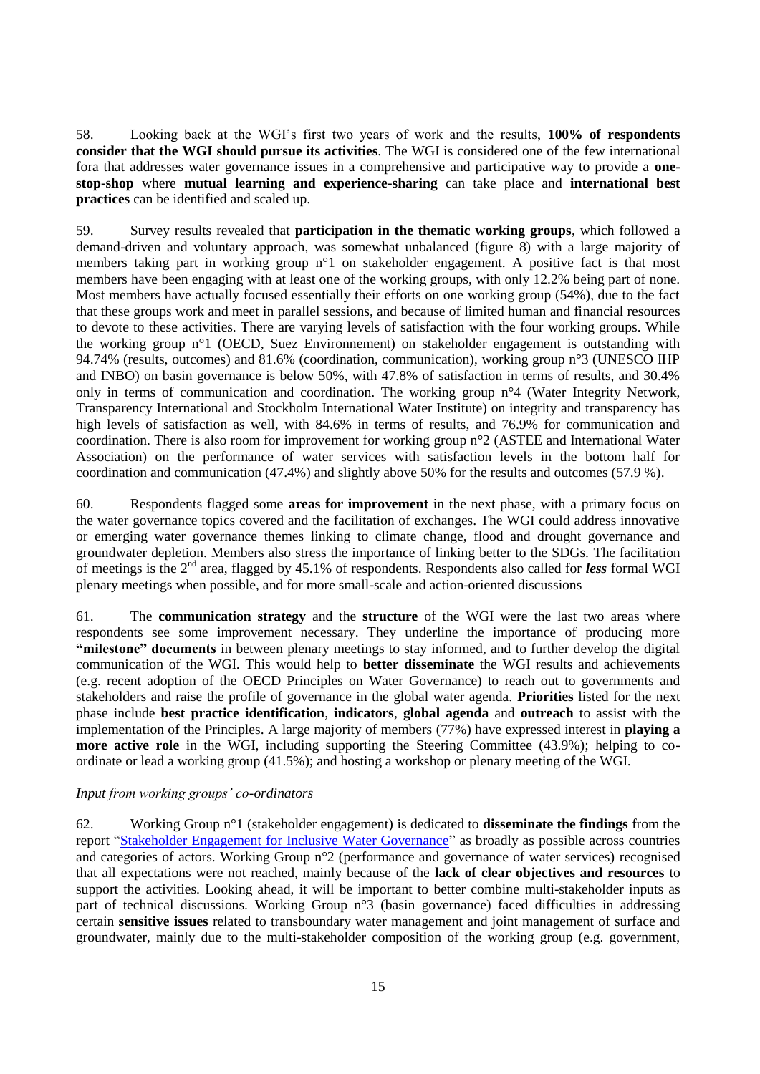58. Looking back at the WGI's first two years of work and the results, **100% of respondents consider that the WGI should pursue its activities**. The WGI is considered one of the few international fora that addresses water governance issues in a comprehensive and participative way to provide a **onestop-shop** where **mutual learning and experience-sharing** can take place and **international best practices** can be identified and scaled up.

59. Survey results revealed that **participation in the thematic working groups**, which followed a demand-driven and voluntary approach, was somewhat unbalanced (figure 8) with a large majority of members taking part in working group n°1 on stakeholder engagement. A positive fact is that most members have been engaging with at least one of the working groups, with only 12.2% being part of none. Most members have actually focused essentially their efforts on one working group (54%), due to the fact that these groups work and meet in parallel sessions, and because of limited human and financial resources to devote to these activities. There are varying levels of satisfaction with the four working groups. While the working group n°1 (OECD, Suez Environnement) on stakeholder engagement is outstanding with 94.74% (results, outcomes) and 81.6% (coordination, communication), working group n°3 (UNESCO IHP and INBO) on basin governance is below 50%, with 47.8% of satisfaction in terms of results, and 30.4% only in terms of communication and coordination. The working group n°4 (Water Integrity Network, Transparency International and Stockholm International Water Institute) on integrity and transparency has high levels of satisfaction as well, with 84.6% in terms of results, and 76.9% for communication and coordination. There is also room for improvement for working group n°2 (ASTEE and International Water Association) on the performance of water services with satisfaction levels in the bottom half for coordination and communication (47.4%) and slightly above 50% for the results and outcomes (57.9 %).

60. Respondents flagged some **areas for improvement** in the next phase, with a primary focus on the water governance topics covered and the facilitation of exchanges. The WGI could address innovative or emerging water governance themes linking to climate change, flood and drought governance and groundwater depletion. Members also stress the importance of linking better to the SDGs. The facilitation of meetings is the 2nd area, flagged by 45.1% of respondents. Respondents also called for *less* formal WGI plenary meetings when possible, and for more small-scale and action-oriented discussions

61. The **communication strategy** and the **structure** of the WGI were the last two areas where respondents see some improvement necessary. They underline the importance of producing more **"milestone" documents** in between plenary meetings to stay informed, and to further develop the digital communication of the WGI. This would help to **better disseminate** the WGI results and achievements (e.g. recent adoption of the OECD Principles on Water Governance) to reach out to governments and stakeholders and raise the profile of governance in the global water agenda. **Priorities** listed for the next phase include **best practice identification**, **indicators**, **global agenda** and **outreach** to assist with the implementation of the Principles. A large majority of members (77%) have expressed interest in **playing a more active role** in the WGI, including supporting the Steering Committee (43.9%); helping to coordinate or lead a working group (41.5%); and hosting a workshop or plenary meeting of the WGI.

#### *Input from working groups' co-ordinators*

62. Working Group n°1 (stakeholder engagement) is dedicated to **disseminate the findings** from the report ["Stakeholder Engagement for Inclusive Water Governance"](http://www.oecd.org/environment/stakeholder-engagement-for-inclusive-water-governance-9789264231122-en.htm) as broadly as possible across countries and categories of actors. Working Group n°2 (performance and governance of water services) recognised that all expectations were not reached, mainly because of the **lack of clear objectives and resources** to support the activities. Looking ahead, it will be important to better combine multi-stakeholder inputs as part of technical discussions. Working Group n°3 (basin governance) faced difficulties in addressing certain **sensitive issues** related to transboundary water management and joint management of surface and groundwater, mainly due to the multi-stakeholder composition of the working group (e.g. government,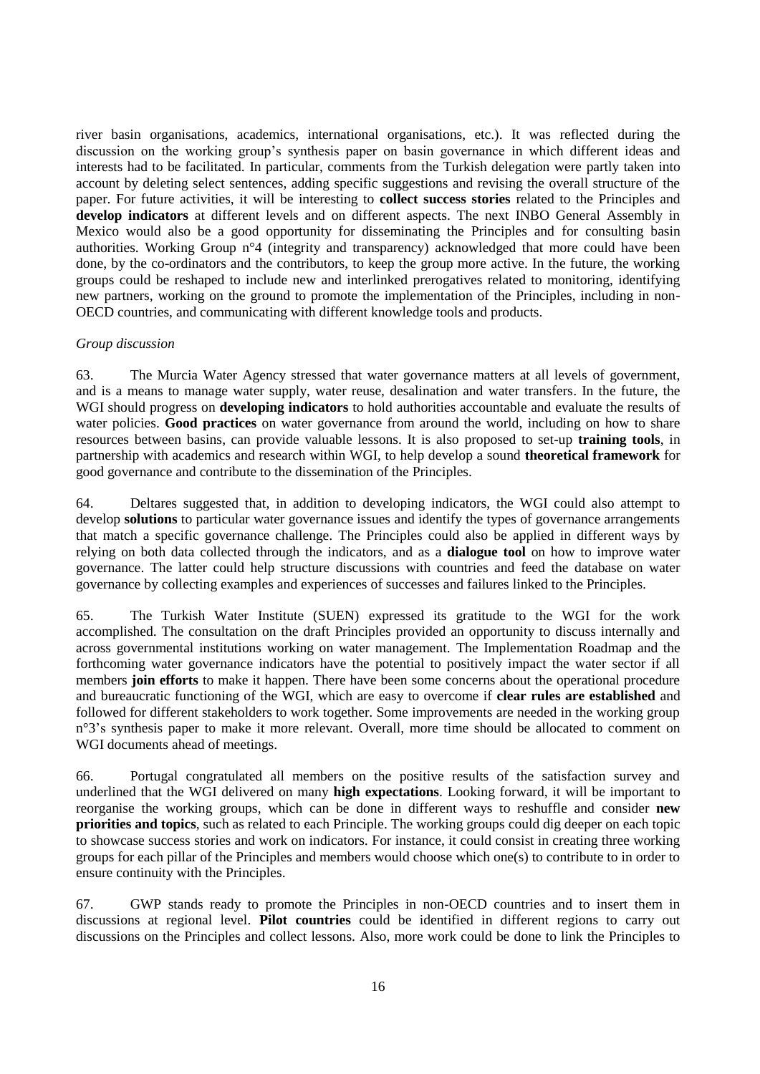river basin organisations, academics, international organisations, etc.). It was reflected during the discussion on the working group's synthesis paper on basin governance in which different ideas and interests had to be facilitated. In particular, comments from the Turkish delegation were partly taken into account by deleting select sentences, adding specific suggestions and revising the overall structure of the paper. For future activities, it will be interesting to **collect success stories** related to the Principles and **develop indicators** at different levels and on different aspects. The next INBO General Assembly in Mexico would also be a good opportunity for disseminating the Principles and for consulting basin authorities. Working Group n°4 (integrity and transparency) acknowledged that more could have been done, by the co-ordinators and the contributors, to keep the group more active. In the future, the working groups could be reshaped to include new and interlinked prerogatives related to monitoring, identifying new partners, working on the ground to promote the implementation of the Principles, including in non-OECD countries, and communicating with different knowledge tools and products.

#### *Group discussion*

63. The Murcia Water Agency stressed that water governance matters at all levels of government, and is a means to manage water supply, water reuse, desalination and water transfers. In the future, the WGI should progress on **developing indicators** to hold authorities accountable and evaluate the results of water policies. **Good practices** on water governance from around the world, including on how to share resources between basins, can provide valuable lessons. It is also proposed to set-up **training tools**, in partnership with academics and research within WGI, to help develop a sound **theoretical framework** for good governance and contribute to the dissemination of the Principles.

64. Deltares suggested that, in addition to developing indicators, the WGI could also attempt to develop **solutions** to particular water governance issues and identify the types of governance arrangements that match a specific governance challenge. The Principles could also be applied in different ways by relying on both data collected through the indicators, and as a **dialogue tool** on how to improve water governance. The latter could help structure discussions with countries and feed the database on water governance by collecting examples and experiences of successes and failures linked to the Principles.

65. The Turkish Water Institute (SUEN) expressed its gratitude to the WGI for the work accomplished. The consultation on the draft Principles provided an opportunity to discuss internally and across governmental institutions working on water management. The Implementation Roadmap and the forthcoming water governance indicators have the potential to positively impact the water sector if all members **join efforts** to make it happen. There have been some concerns about the operational procedure and bureaucratic functioning of the WGI, which are easy to overcome if **clear rules are established** and followed for different stakeholders to work together. Some improvements are needed in the working group n°3's synthesis paper to make it more relevant. Overall, more time should be allocated to comment on WGI documents ahead of meetings.

66. Portugal congratulated all members on the positive results of the satisfaction survey and underlined that the WGI delivered on many **high expectations**. Looking forward, it will be important to reorganise the working groups, which can be done in different ways to reshuffle and consider **new priorities and topics**, such as related to each Principle. The working groups could dig deeper on each topic to showcase success stories and work on indicators. For instance, it could consist in creating three working groups for each pillar of the Principles and members would choose which one(s) to contribute to in order to ensure continuity with the Principles.

67. GWP stands ready to promote the Principles in non-OECD countries and to insert them in discussions at regional level. **Pilot countries** could be identified in different regions to carry out discussions on the Principles and collect lessons. Also, more work could be done to link the Principles to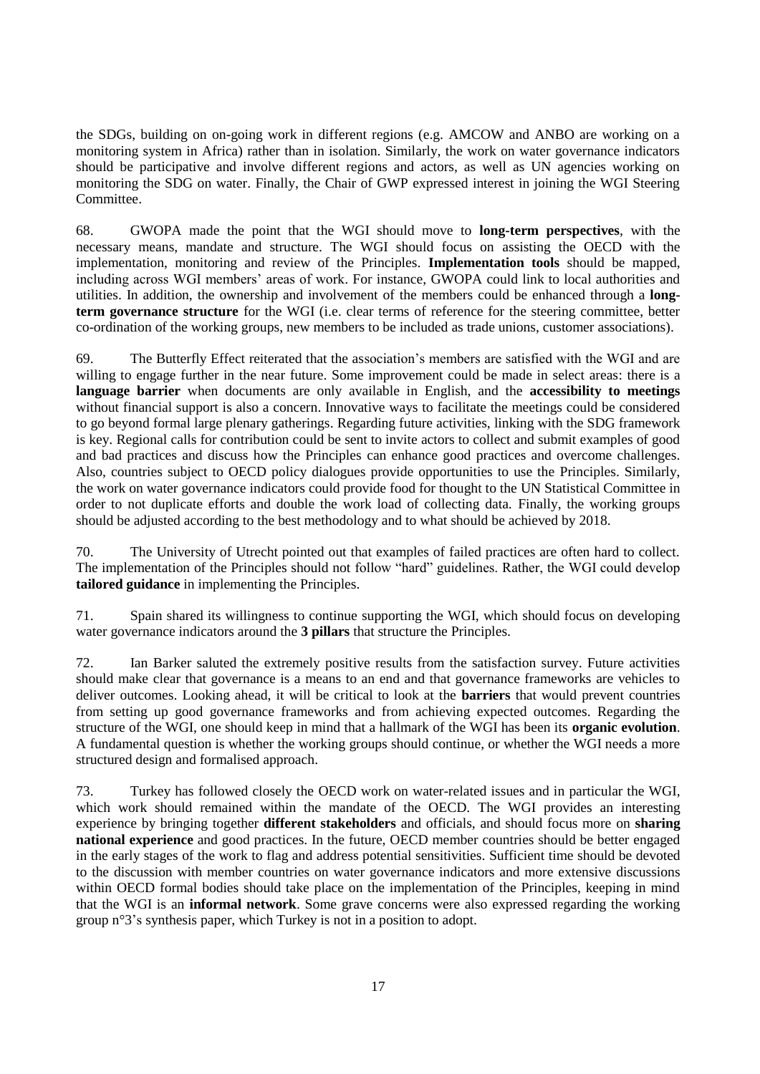the SDGs, building on on-going work in different regions (e.g. AMCOW and ANBO are working on a monitoring system in Africa) rather than in isolation. Similarly, the work on water governance indicators should be participative and involve different regions and actors, as well as UN agencies working on monitoring the SDG on water. Finally, the Chair of GWP expressed interest in joining the WGI Steering Committee.

68. GWOPA made the point that the WGI should move to **long-term perspectives**, with the necessary means, mandate and structure. The WGI should focus on assisting the OECD with the implementation, monitoring and review of the Principles. **Implementation tools** should be mapped, including across WGI members' areas of work. For instance, GWOPA could link to local authorities and utilities. In addition, the ownership and involvement of the members could be enhanced through a **longterm governance structure** for the WGI (i.e. clear terms of reference for the steering committee, better co-ordination of the working groups, new members to be included as trade unions, customer associations).

69. The Butterfly Effect reiterated that the association's members are satisfied with the WGI and are willing to engage further in the near future. Some improvement could be made in select areas: there is a **language barrier** when documents are only available in English, and the **accessibility to meetings** without financial support is also a concern. Innovative ways to facilitate the meetings could be considered to go beyond formal large plenary gatherings. Regarding future activities, linking with the SDG framework is key. Regional calls for contribution could be sent to invite actors to collect and submit examples of good and bad practices and discuss how the Principles can enhance good practices and overcome challenges. Also, countries subject to OECD policy dialogues provide opportunities to use the Principles. Similarly, the work on water governance indicators could provide food for thought to the UN Statistical Committee in order to not duplicate efforts and double the work load of collecting data. Finally, the working groups should be adjusted according to the best methodology and to what should be achieved by 2018.

70. The University of Utrecht pointed out that examples of failed practices are often hard to collect. The implementation of the Principles should not follow "hard" guidelines. Rather, the WGI could develop **tailored guidance** in implementing the Principles.

71. Spain shared its willingness to continue supporting the WGI, which should focus on developing water governance indicators around the **3 pillars** that structure the Principles.

72. Ian Barker saluted the extremely positive results from the satisfaction survey. Future activities should make clear that governance is a means to an end and that governance frameworks are vehicles to deliver outcomes. Looking ahead, it will be critical to look at the **barriers** that would prevent countries from setting up good governance frameworks and from achieving expected outcomes. Regarding the structure of the WGI, one should keep in mind that a hallmark of the WGI has been its **organic evolution**. A fundamental question is whether the working groups should continue, or whether the WGI needs a more structured design and formalised approach.

73. Turkey has followed closely the OECD work on water-related issues and in particular the WGI, which work should remained within the mandate of the OECD. The WGI provides an interesting experience by bringing together **different stakeholders** and officials, and should focus more on **sharing national experience** and good practices. In the future, OECD member countries should be better engaged in the early stages of the work to flag and address potential sensitivities. Sufficient time should be devoted to the discussion with member countries on water governance indicators and more extensive discussions within OECD formal bodies should take place on the implementation of the Principles, keeping in mind that the WGI is an **informal network**. Some grave concerns were also expressed regarding the working group n°3's synthesis paper, which Turkey is not in a position to adopt.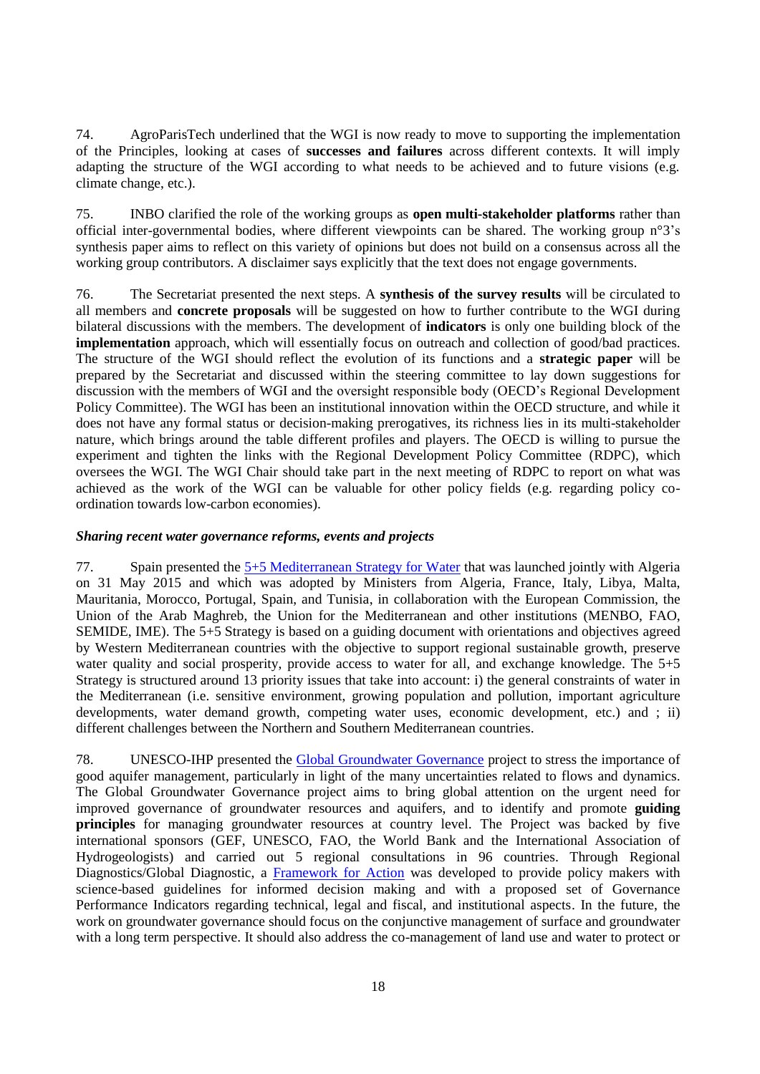74. AgroParisTech underlined that the WGI is now ready to move to supporting the implementation of the Principles, looking at cases of **successes and failures** across different contexts. It will imply adapting the structure of the WGI according to what needs to be achieved and to future visions (e.g. climate change, etc.).

75. INBO clarified the role of the working groups as **open multi-stakeholder platforms** rather than official inter-governmental bodies, where different viewpoints can be shared. The working group n°3's synthesis paper aims to reflect on this variety of opinions but does not build on a consensus across all the working group contributors. A disclaimer says explicitly that the text does not engage governments.

76. The Secretariat presented the next steps. A **synthesis of the survey results** will be circulated to all members and **concrete proposals** will be suggested on how to further contribute to the WGI during bilateral discussions with the members. The development of **indicators** is only one building block of the **implementation** approach, which will essentially focus on outreach and collection of good/bad practices. The structure of the WGI should reflect the evolution of its functions and a **strategic paper** will be prepared by the Secretariat and discussed within the steering committee to lay down suggestions for discussion with the members of WGI and the oversight responsible body (OECD's Regional Development Policy Committee). The WGI has been an institutional innovation within the OECD structure, and while it does not have any formal status or decision-making prerogatives, its richness lies in its multi-stakeholder nature, which brings around the table different profiles and players. The OECD is willing to pursue the experiment and tighten the links with the Regional Development Policy Committee (RDPC), which oversees the WGI. The WGI Chair should take part in the next meeting of RDPC to report on what was achieved as the work of the WGI can be valuable for other policy fields (e.g. regarding policy coordination towards low-carbon economies).

#### <span id="page-17-0"></span>*Sharing recent water governance reforms, events and projects*

77. Spain presented the [5+5 Mediterranean Strategy for Water](http://www.emwis.org/initiatives/5et5) that was launched jointly with Algeria on 31 May 2015 and which was adopted by Ministers from Algeria, France, Italy, Libya, Malta, Mauritania, Morocco, Portugal, Spain, and Tunisia, in collaboration with the European Commission, the Union of the Arab Maghreb, the Union for the Mediterranean and other institutions (MENBO, FAO, SEMIDE, IME). The 5+5 Strategy is based on a guiding document with orientations and objectives agreed by Western Mediterranean countries with the objective to support regional sustainable growth, preserve water quality and social prosperity, provide access to water for all, and exchange knowledge. The 5+5 Strategy is structured around 13 priority issues that take into account: i) the general constraints of water in the Mediterranean (i.e. sensitive environment, growing population and pollution, important agriculture developments, water demand growth, competing water uses, economic development, etc.) and ; ii) different challenges between the Northern and Southern Mediterranean countries.

78. UNESCO-IHP presented the [Global Groundwater Governance](http://www.groundwatergovernance.org/) project to stress the importance of good aquifer management, particularly in light of the many uncertainties related to flows and dynamics. The Global Groundwater Governance project aims to bring global attention on the urgent need for improved governance of groundwater resources and aquifers, and to identify and promote **guiding principles** for managing groundwater resources at country level. The Project was backed by five international sponsors (GEF, UNESCO, FAO, the World Bank and the International Association of Hydrogeologists) and carried out 5 regional consultations in 96 countries. Through Regional Diagnostics/Global Diagnostic, a [Framework for Action](http://www.groundwatergovernance.org/fileadmin/user_upload/groundwatergovernance/docs/general/GWG_FRAMEWORK.pdf) was developed to provide policy makers with science-based guidelines for informed decision making and with a proposed set of Governance Performance Indicators regarding technical, legal and fiscal, and institutional aspects. In the future, the work on groundwater governance should focus on the conjunctive management of surface and groundwater with a long term perspective. It should also address the co-management of land use and water to protect or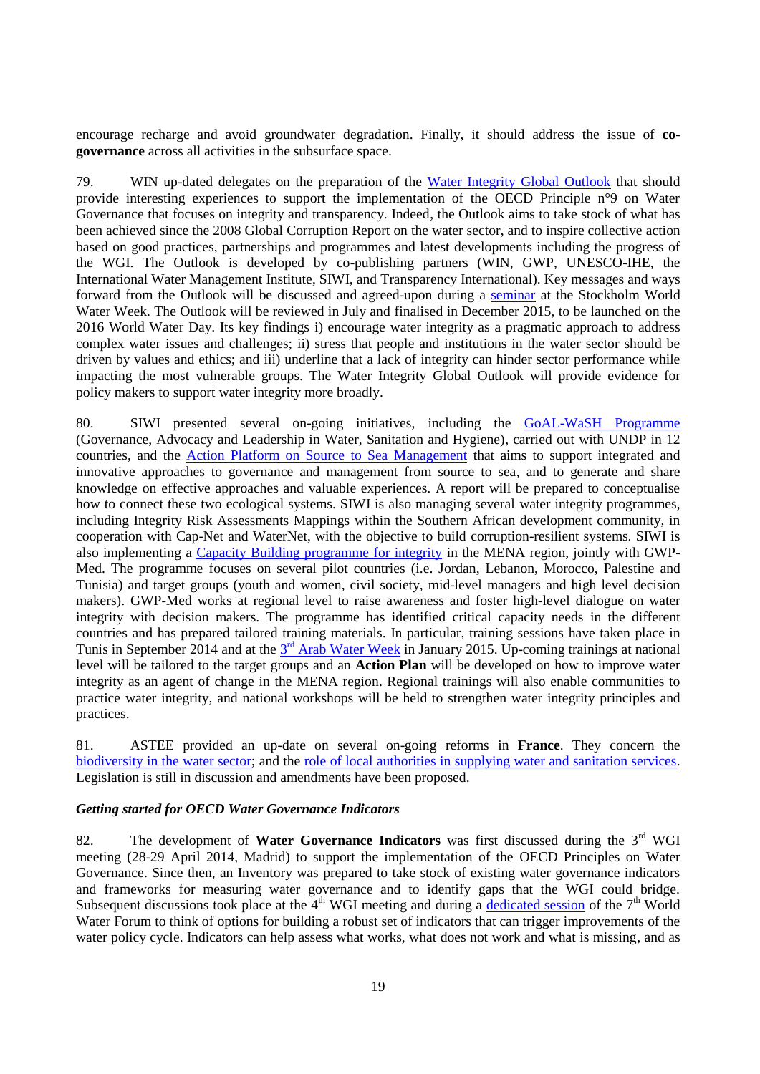encourage recharge and avoid groundwater degradation. Finally, it should address the issue of **cogovernance** across all activities in the subsurface space.

79. WIN up-dated delegates on the preparation of the [Water Integrity Global Outlook](https://waterintegritynet.files.wordpress.com/2014/10/waterintegrityoutlook2015_outline.pdf) that should provide interesting experiences to support the implementation of the OECD Principle n°9 on Water Governance that focuses on integrity and transparency. Indeed, the Outlook aims to take stock of what has been achieved since the 2008 Global Corruption Report on the water sector, and to inspire collective action based on good practices, partnerships and programmes and latest developments including the progress of the WGI. The Outlook is developed by co-publishing partners (WIN, GWP, UNESCO-IHE, the International Water Management Institute, SIWI, and Transparency International). Key messages and ways forward from the Outlook will be discussed and agreed-upon during a [seminar](http://www.waterintegritynetwork.net/event/stockholm-world-water-week-2015/) at the Stockholm World Water Week. The Outlook will be reviewed in July and finalised in December 2015, to be launched on the 2016 World Water Day. Its key findings i) encourage water integrity as a pragmatic approach to address complex water issues and challenges; ii) stress that people and institutions in the water sector should be driven by values and ethics; and iii) underline that a lack of integrity can hinder sector performance while impacting the most vulnerable groups. The Water Integrity Global Outlook will provide evidence for policy makers to support water integrity more broadly.

80. SIWI presented several on-going initiatives, including the [GoAL-WaSH Programme](http://www.undp.org/content/undp/en/home/ourwork/environmentandenergy/focus_areas/water_and_ocean_governance/water-supply-and-sanitation/goal-wash.html) (Governance, Advocacy and Leadership in Water, Sanitation and Hygiene), carried out with UNDP in 12 countries, and the [Action Platform on Source to Sea Management](http://programme.worldwaterweek.org/sites/default/files/birgitta_liss_lymer._upload_an_action_platform_on_source_to_sea_management_-_intro.pdf) that aims to support integrated and innovative approaches to governance and management from source to sea, and to generate and share knowledge on effective approaches and valuable experiences. A report will be prepared to conceptualise how to connect these two ecological systems. SIWI is also managing several water integrity programmes, including Integrity Risk Assessments Mappings within the Southern African development community, in cooperation with Cap-Net and WaterNet, with the objective to build corruption-resilient systems. SIWI is also implementing a [Capacity Building programme for integrity](http://www.watergovernance.org/integrity/MENA) in the MENA region, jointly with GWP-Med. The programme focuses on several pilot countries (i.e. Jordan, Lebanon, Morocco, Palestine and Tunisia) and target groups (youth and women, civil society, mid-level managers and high level decision makers). GWP-Med works at regional level to raise awareness and foster high-level dialogue on water integrity with decision makers. The programme has identified critical capacity needs in the different countries and has prepared tailored training materials. In particular, training sessions have taken place in Tunis in September 2014 and at the  $3<sup>rd</sup>$  [Arab Water Week](http://arabwaterweek.com/) in January 2015. Up-coming trainings at national level will be tailored to the target groups and an **Action Plan** will be developed on how to improve water integrity as an agent of change in the MENA region. Regional trainings will also enable communities to practice water integrity, and national workshops will be held to strengthen water integrity principles and practices.

81. ASTEE provided an up-date on several on-going reforms in **France**. They concern the [biodiversity in the water sector;](http://www.developpement-durable.gouv.fr/-Projet-de-loi-biodiversite-.html) and the [role of local authorities in supplying water and sanitation services.](http://www.vie-publique.fr/actualite/panorama/texte-discussion/projet-loi-portant-nouvelle-organisation-territoriale-republique.html) Legislation is still in discussion and amendments have been proposed.

#### <span id="page-18-0"></span>*Getting started for OECD Water Governance Indicators*

82. The development of **Water Governance Indicators** was first discussed during the 3rd WGI meeting (28-29 April 2014, Madrid) to support the implementation of the OECD Principles on Water Governance. Since then, an Inventory was prepared to take stock of existing water governance indicators and frameworks for measuring water governance and to identify gaps that the WGI could bridge. Subsequent discussions took place at the  $4<sup>th</sup>$  WGI meeting and during a [dedicated session](http://www.oecd.org/gov/regional-policy/principles-on-water-governance-from-vision-to-action.htm) of the  $7<sup>th</sup>$  World Water Forum to think of options for building a robust set of indicators that can trigger improvements of the water policy cycle. Indicators can help assess what works, what does not work and what is missing, and as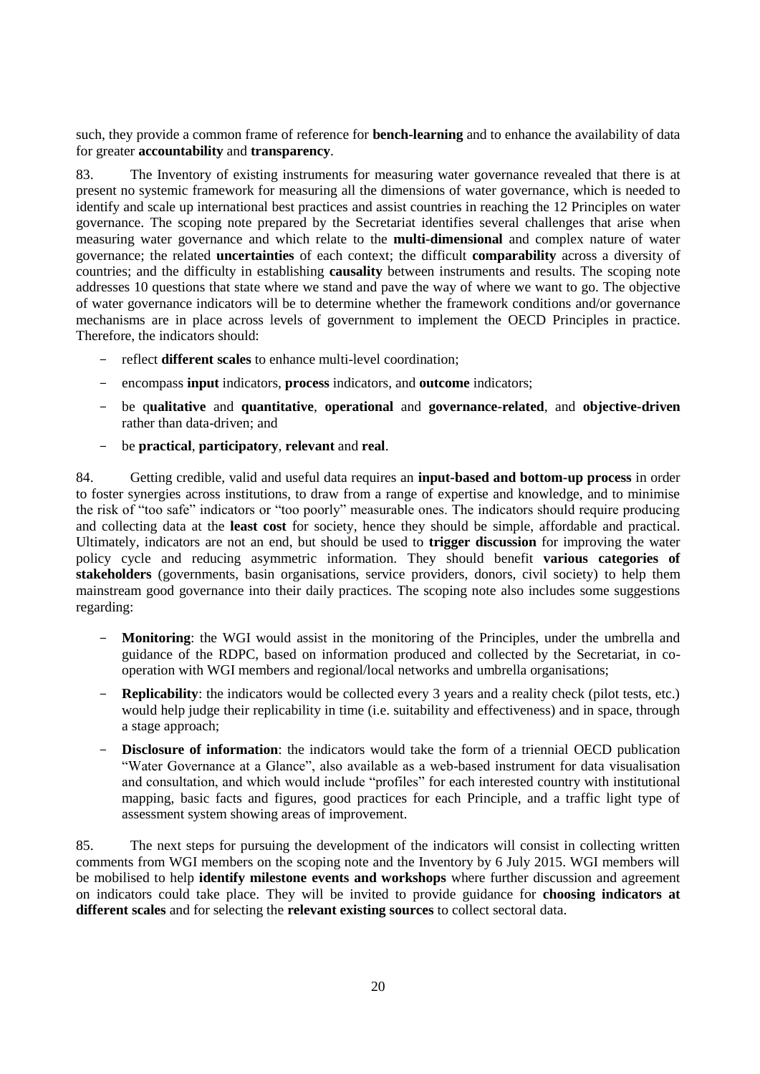such, they provide a common frame of reference for **bench-learning** and to enhance the availability of data for greater **accountability** and **transparency**.

83. The Inventory of existing instruments for measuring water governance revealed that there is at present no systemic framework for measuring all the dimensions of water governance, which is needed to identify and scale up international best practices and assist countries in reaching the 12 Principles on water governance. The scoping note prepared by the Secretariat identifies several challenges that arise when measuring water governance and which relate to the **multi-dimensional** and complex nature of water governance; the related **uncertainties** of each context; the difficult **comparability** across a diversity of countries; and the difficulty in establishing **causality** between instruments and results. The scoping note addresses 10 questions that state where we stand and pave the way of where we want to go. The objective of water governance indicators will be to determine whether the framework conditions and/or governance mechanisms are in place across levels of government to implement the OECD Principles in practice. Therefore, the indicators should:

- reflect **different scales** to enhance multi-level coordination;
- encompass **input** indicators, **process** indicators, and **outcome** indicators;
- be q**ualitative** and **quantitative**, **operational** and **governance-related**, and **objective-driven** rather than data-driven; and
- be **practical**, **participatory**, **relevant** and **real**.

84. Getting credible, valid and useful data requires an **input-based and bottom-up process** in order to foster synergies across institutions, to draw from a range of expertise and knowledge, and to minimise the risk of "too safe" indicators or "too poorly" measurable ones. The indicators should require producing and collecting data at the **least cost** for society, hence they should be simple, affordable and practical. Ultimately, indicators are not an end, but should be used to **trigger discussion** for improving the water policy cycle and reducing asymmetric information. They should benefit **various categories of stakeholders** (governments, basin organisations, service providers, donors, civil society) to help them mainstream good governance into their daily practices. The scoping note also includes some suggestions regarding:

- **Monitoring**: the WGI would assist in the monitoring of the Principles, under the umbrella and guidance of the RDPC, based on information produced and collected by the Secretariat, in cooperation with WGI members and regional/local networks and umbrella organisations;
- **Replicability**: the indicators would be collected every 3 years and a reality check (pilot tests, etc.) would help judge their replicability in time (i.e. suitability and effectiveness) and in space, through a stage approach;
- **Disclosure of information**: the indicators would take the form of a triennial OECD publication "Water Governance at a Glance", also available as a web-based instrument for data visualisation and consultation, and which would include "profiles" for each interested country with institutional mapping, basic facts and figures, good practices for each Principle, and a traffic light type of assessment system showing areas of improvement.

85. The next steps for pursuing the development of the indicators will consist in collecting written comments from WGI members on the scoping note and the Inventory by 6 July 2015. WGI members will be mobilised to help **identify milestone events and workshops** where further discussion and agreement on indicators could take place. They will be invited to provide guidance for **choosing indicators at different scales** and for selecting the **relevant existing sources** to collect sectoral data.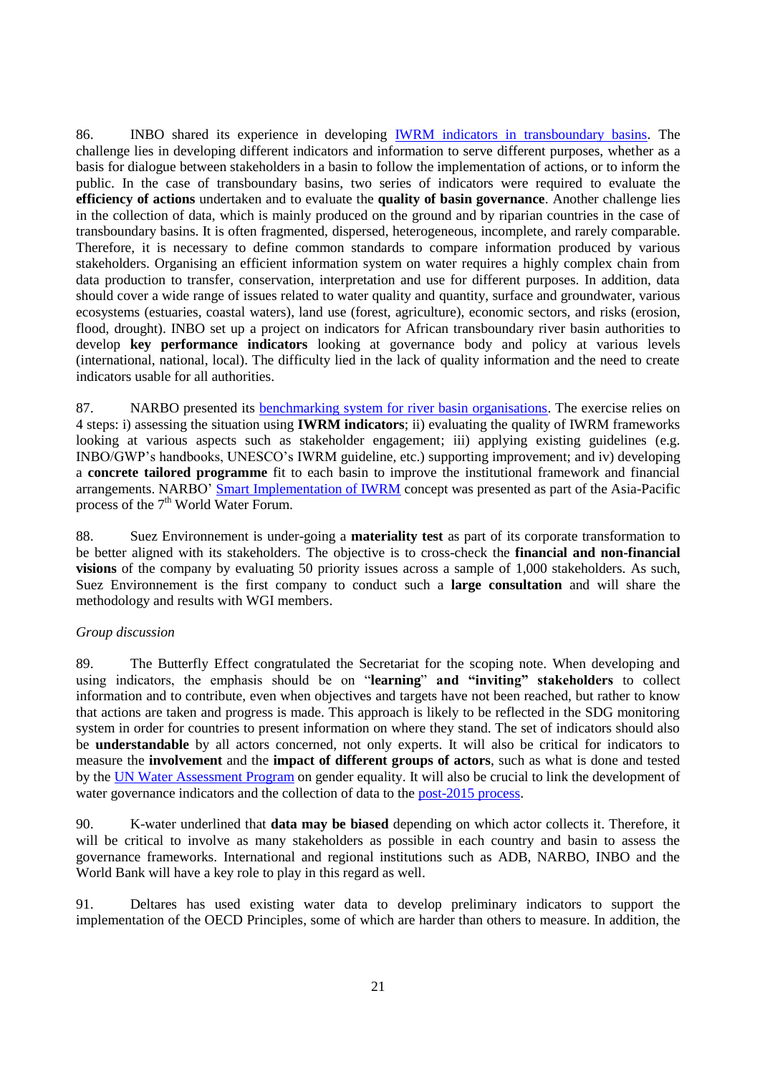86. INBO shared its experience in developing [IWRM indicators in transboundary basins.](http://www.inbo-news.org/IMG/pdf/12_AlainBernard.pdf) The challenge lies in developing different indicators and information to serve different purposes, whether as a basis for dialogue between stakeholders in a basin to follow the implementation of actions, or to inform the public. In the case of transboundary basins, two series of indicators were required to evaluate the **efficiency of actions** undertaken and to evaluate the **quality of basin governance**. Another challenge lies in the collection of data, which is mainly produced on the ground and by riparian countries in the case of transboundary basins. It is often fragmented, dispersed, heterogeneous, incomplete, and rarely comparable. Therefore, it is necessary to define common standards to compare information produced by various stakeholders. Organising an efficient information system on water requires a highly complex chain from data production to transfer, conservation, interpretation and use for different purposes. In addition, data should cover a wide range of issues related to water quality and quantity, surface and groundwater, various ecosystems (estuaries, coastal waters), land use (forest, agriculture), economic sectors, and risks (erosion, flood, drought). INBO set up a project on indicators for African transboundary river basin authorities to develop **key performance indicators** looking at governance body and policy at various levels (international, national, local). The difficulty lied in the lack of quality information and the need to create indicators usable for all authorities.

87. NARBO presented its [benchmarking system for river basin organisations.](http://www.narbo.jp/benchmarking.html) The exercise relies on 4 steps: i) assessing the situation using **IWRM indicators**; ii) evaluating the quality of IWRM frameworks looking at various aspects such as stakeholder engagement; iii) applying existing guidelines (e.g. INBO/GWP's handbooks, UNESCO's IWRM guideline, etc.) supporting improvement; and iv) developing a **concrete tailored programme** fit to each basin to improve the institutional framework and financial arrangements. NARBO' [Smart Implementation of IWRM](http://eng.worldwaterforum7.org/program/program.asp?program_seq=496) concept was presented as part of the Asia-Pacific process of the 7<sup>th</sup> World Water Forum.

88. Suez Environnement is under-going a **materiality test** as part of its corporate transformation to be better aligned with its stakeholders. The objective is to cross-check the **financial and non-financial visions** of the company by evaluating 50 priority issues across a sample of 1,000 stakeholders. As such, Suez Environnement is the first company to conduct such a **large consultation** and will share the methodology and results with WGI members.

### *Group discussion*

89. The Butterfly Effect congratulated the Secretariat for the scoping note. When developing and using indicators, the emphasis should be on "**learning**" **and "inviting" stakeholders** to collect information and to contribute, even when objectives and targets have not been reached, but rather to know that actions are taken and progress is made. This approach is likely to be reflected in the SDG monitoring system in order for countries to present information on where they stand. The set of indicators should also be **understandable** by all actors concerned, not only experts. It will also be critical for indicators to measure the **involvement** and the **impact of different groups of actors**, such as what is done and tested by the [UN Water Assessment Program](http://www.unesco.org/new/en/natural-sciences/environment/water/wwap/) on gender equality. It will also be crucial to link the development of water governance indicators and the collection of data to the [post-2015 process.](https://sustainabledevelopment.un.org/post2015)

90. K-water underlined that **data may be biased** depending on which actor collects it. Therefore, it will be critical to involve as many stakeholders as possible in each country and basin to assess the governance frameworks. International and regional institutions such as ADB, NARBO, INBO and the World Bank will have a key role to play in this regard as well.

91. Deltares has used existing water data to develop preliminary indicators to support the implementation of the OECD Principles, some of which are harder than others to measure. In addition, the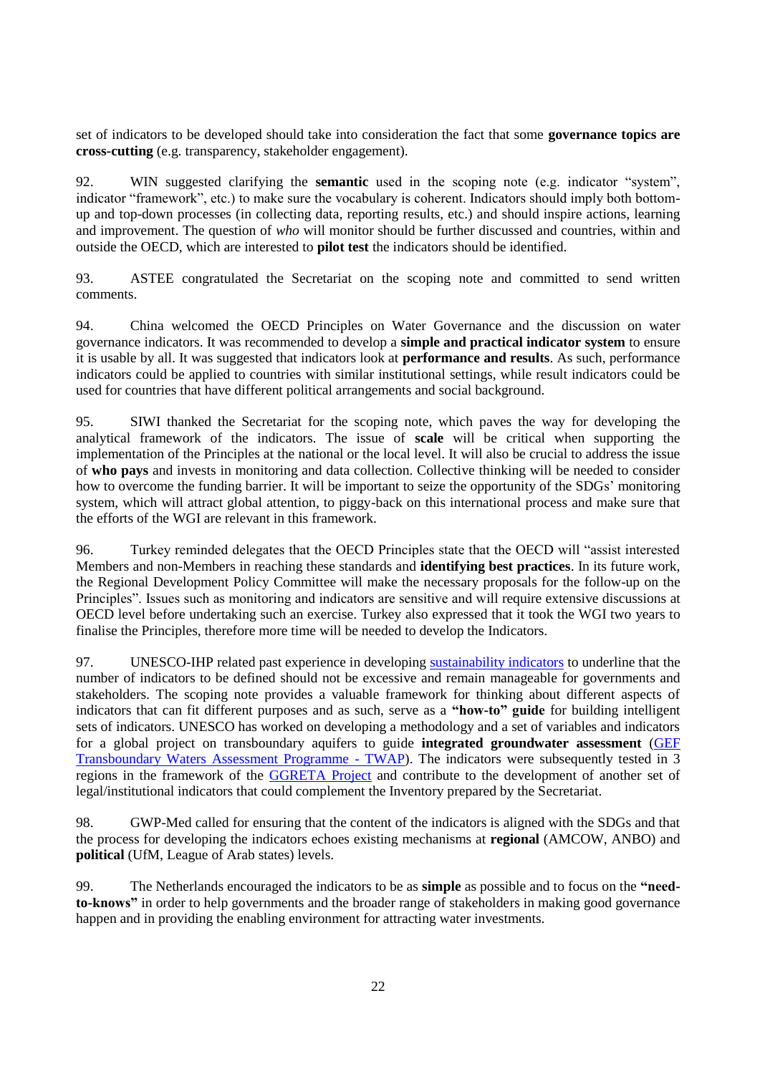set of indicators to be developed should take into consideration the fact that some **governance topics are cross-cutting** (e.g. transparency, stakeholder engagement).

92. WIN suggested clarifying the **semantic** used in the scoping note (e.g. indicator "system", indicator "framework", etc.) to make sure the vocabulary is coherent. Indicators should imply both bottomup and top-down processes (in collecting data, reporting results, etc.) and should inspire actions, learning and improvement. The question of *who* will monitor should be further discussed and countries, within and outside the OECD, which are interested to **pilot test** the indicators should be identified.

93. ASTEE congratulated the Secretariat on the scoping note and committed to send written comments.

94. China welcomed the OECD Principles on Water Governance and the discussion on water governance indicators. It was recommended to develop a **simple and practical indicator system** to ensure it is usable by all. It was suggested that indicators look at **performance and results**. As such, performance indicators could be applied to countries with similar institutional settings, while result indicators could be used for countries that have different political arrangements and social background.

95. SIWI thanked the Secretariat for the scoping note, which paves the way for developing the analytical framework of the indicators. The issue of **scale** will be critical when supporting the implementation of the Principles at the national or the local level. It will also be crucial to address the issue of **who pays** and invests in monitoring and data collection. Collective thinking will be needed to consider how to overcome the funding barrier. It will be important to seize the opportunity of the SDGs' monitoring system, which will attract global attention, to piggy-back on this international process and make sure that the efforts of the WGI are relevant in this framework.

96. Turkey reminded delegates that the OECD Principles state that the OECD will "assist interested Members and non-Members in reaching these standards and **identifying best practices**. In its future work, the Regional Development Policy Committee will make the necessary proposals for the follow-up on the Principles". Issues such as monitoring and indicators are sensitive and will require extensive discussions at OECD level before undertaking such an exercise. Turkey also expressed that it took the WGI two years to finalise the Principles, therefore more time will be needed to develop the Indicators.

97. UNESCO-IHP related past experience in developing [sustainability indicators](http://unesdoc.unesco.org/images/0014/001497/149754e.pdf) to underline that the number of indicators to be defined should not be excessive and remain manageable for governments and stakeholders. The scoping note provides a valuable framework for thinking about different aspects of indicators that can fit different purposes and as such, serve as a **"how-to" guide** for building intelligent sets of indicators. UNESCO has worked on developing a methodology and a set of variables and indicators for a global project on transboundary aquifers to guide **integrated groundwater assessment** [\(GEF](http://www.geftwap.org/publications/methodologies-for-the-gef-transboundary-assessment-programme-1)  [Transboundary Waters Assessment Programme](http://www.geftwap.org/publications/methodologies-for-the-gef-transboundary-assessment-programme-1) - TWAP). The indicators were subsequently tested in 3 regions in the framework of the [GGRETA Project](http://www.groundwatercop.iwlearn.net/ggreta) and contribute to the development of another set of legal/institutional indicators that could complement the Inventory prepared by the Secretariat.

98. GWP-Med called for ensuring that the content of the indicators is aligned with the SDGs and that the process for developing the indicators echoes existing mechanisms at **regional** (AMCOW, ANBO) and **political** (UfM, League of Arab states) levels.

99. The Netherlands encouraged the indicators to be as **simple** as possible and to focus on the **"needto-knows"** in order to help governments and the broader range of stakeholders in making good governance happen and in providing the enabling environment for attracting water investments.